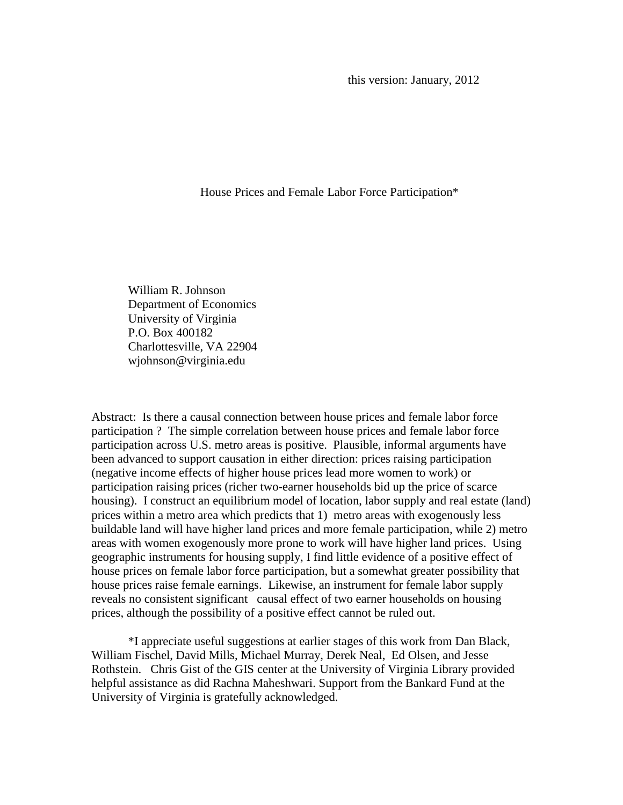this version: January, 2012

House Prices and Female Labor Force Participation\*

William R. Johnson Department of Economics University of Virginia P.O. Box 400182 Charlottesville, VA 22904 wjohnson@virginia.edu

Abstract: Is there a causal connection between house prices and female labor force participation ? The simple correlation between house prices and female labor force participation across U.S. metro areas is positive. Plausible, informal arguments have been advanced to support causation in either direction: prices raising participation (negative income effects of higher house prices lead more women to work) or participation raising prices (richer two-earner households bid up the price of scarce housing). I construct an equilibrium model of location, labor supply and real estate (land) prices within a metro area which predicts that 1) metro areas with exogenously less buildable land will have higher land prices and more female participation, while 2) metro areas with women exogenously more prone to work will have higher land prices. Using geographic instruments for housing supply, I find little evidence of a positive effect of house prices on female labor force participation, but a somewhat greater possibility that house prices raise female earnings. Likewise, an instrument for female labor supply reveals no consistent significant causal effect of two earner households on housing prices, although the possibility of a positive effect cannot be ruled out.

\*I appreciate useful suggestions at earlier stages of this work from Dan Black, William Fischel, David Mills, Michael Murray, Derek Neal, Ed Olsen, and Jesse Rothstein. Chris Gist of the GIS center at the University of Virginia Library provided helpful assistance as did Rachna Maheshwari. Support from the Bankard Fund at the University of Virginia is gratefully acknowledged.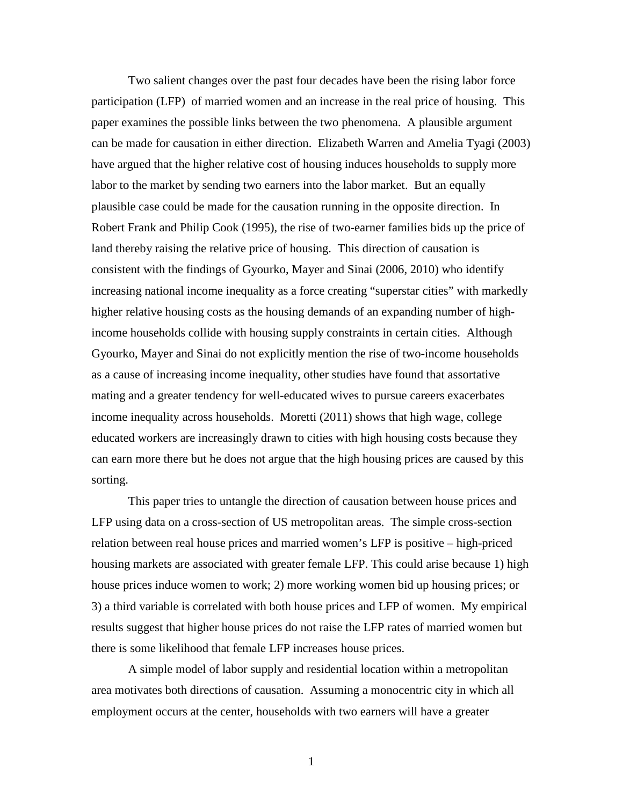Two salient changes over the past four decades have been the rising labor force participation (LFP) of married women and an increase in the real price of housing. This paper examines the possible links between the two phenomena. A plausible argument can be made for causation in either direction. Elizabeth Warren and Amelia Tyagi (2003) have argued that the higher relative cost of housing induces households to supply more labor to the market by sending two earners into the labor market. But an equally plausible case could be made for the causation running in the opposite direction. In Robert Frank and Philip Cook (1995), the rise of two-earner families bids up the price of land thereby raising the relative price of housing. This direction of causation is consistent with the findings of Gyourko, Mayer and Sinai (2006, 2010) who identify increasing national income inequality as a force creating "superstar cities" with markedly higher relative housing costs as the housing demands of an expanding number of highincome households collide with housing supply constraints in certain cities. Although Gyourko, Mayer and Sinai do not explicitly mention the rise of two-income households as a cause of increasing income inequality, other studies have found that assortative mating and a greater tendency for well-educated wives to pursue careers exacerbates income inequality across households. Moretti (2011) shows that high wage, college educated workers are increasingly drawn to cities with high housing costs because they can earn more there but he does not argue that the high housing prices are caused by this sorting.

This paper tries to untangle the direction of causation between house prices and LFP using data on a cross-section of US metropolitan areas. The simple cross-section relation between real house prices and married women's LFP is positive – high-priced housing markets are associated with greater female LFP. This could arise because 1) high house prices induce women to work; 2) more working women bid up housing prices; or 3) a third variable is correlated with both house prices and LFP of women. My empirical results suggest that higher house prices do not raise the LFP rates of married women but there is some likelihood that female LFP increases house prices.

A simple model of labor supply and residential location within a metropolitan area motivates both directions of causation. Assuming a monocentric city in which all employment occurs at the center, households with two earners will have a greater

1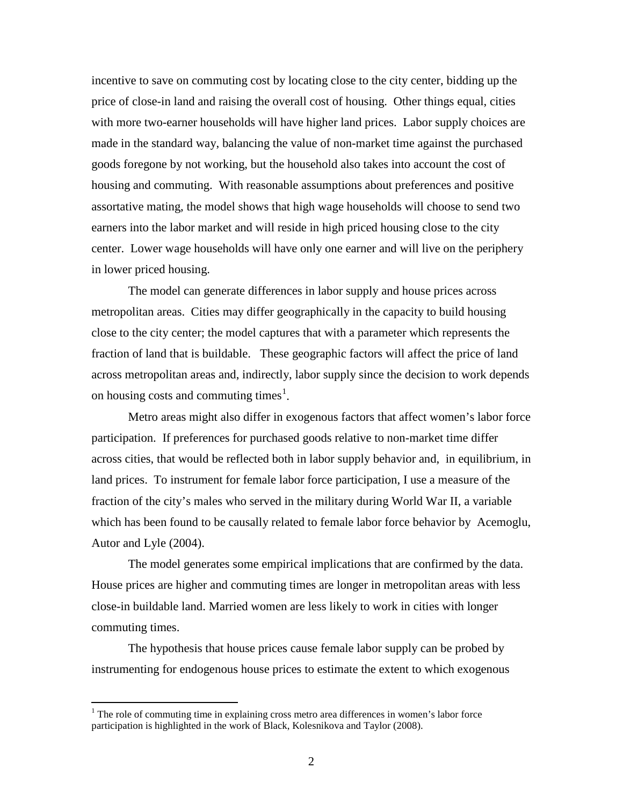incentive to save on commuting cost by locating close to the city center, bidding up the price of close-in land and raising the overall cost of housing. Other things equal, cities with more two-earner households will have higher land prices. Labor supply choices are made in the standard way, balancing the value of non-market time against the purchased goods foregone by not working, but the household also takes into account the cost of housing and commuting. With reasonable assumptions about preferences and positive assortative mating, the model shows that high wage households will choose to send two earners into the labor market and will reside in high priced housing close to the city center. Lower wage households will have only one earner and will live on the periphery in lower priced housing.

The model can generate differences in labor supply and house prices across metropolitan areas. Cities may differ geographically in the capacity to build housing close to the city center; the model captures that with a parameter which represents the fraction of land that is buildable. These geographic factors will affect the price of land across metropolitan areas and, indirectly, labor supply since the decision to work depends on housing costs and commuting times<sup>[1](#page-2-0)</sup>.

Metro areas might also differ in exogenous factors that affect women's labor force participation. If preferences for purchased goods relative to non-market time differ across cities, that would be reflected both in labor supply behavior and, in equilibrium, in land prices. To instrument for female labor force participation, I use a measure of the fraction of the city's males who served in the military during World War II, a variable which has been found to be causally related to female labor force behavior by Acemoglu, Autor and Lyle (2004).

The model generates some empirical implications that are confirmed by the data. House prices are higher and commuting times are longer in metropolitan areas with less close-in buildable land. Married women are less likely to work in cities with longer commuting times.

The hypothesis that house prices cause female labor supply can be probed by instrumenting for endogenous house prices to estimate the extent to which exogenous

<span id="page-2-0"></span><sup>&</sup>lt;sup>1</sup> The role of commuting time in explaining cross metro area differences in women's labor force participation is highlighted in the work of Black, Kolesnikova and Taylor (2008).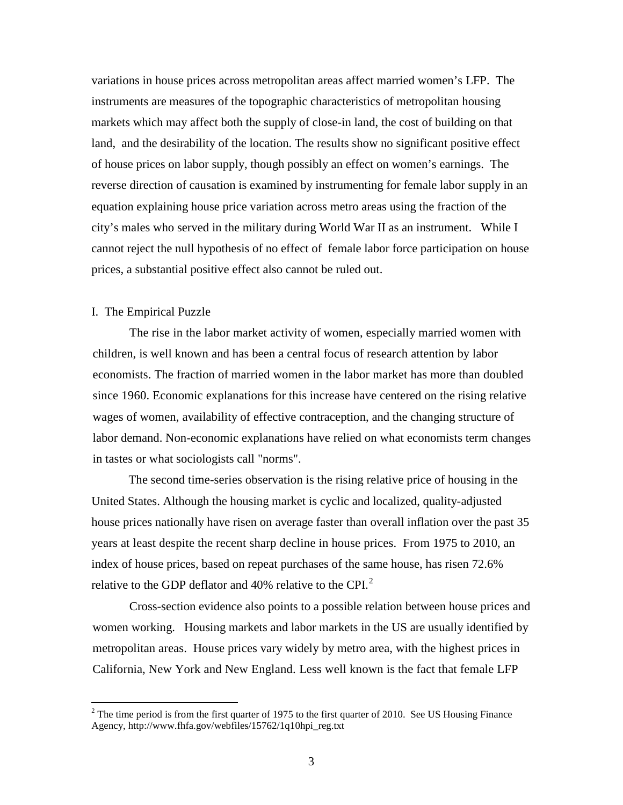variations in house prices across metropolitan areas affect married women's LFP. The instruments are measures of the topographic characteristics of metropolitan housing markets which may affect both the supply of close-in land, the cost of building on that land, and the desirability of the location. The results show no significant positive effect of house prices on labor supply, though possibly an effect on women's earnings. The reverse direction of causation is examined by instrumenting for female labor supply in an equation explaining house price variation across metro areas using the fraction of the city's males who served in the military during World War II as an instrument. While I cannot reject the null hypothesis of no effect of female labor force participation on house prices, a substantial positive effect also cannot be ruled out.

## I. The Empirical Puzzle

The rise in the labor market activity of women, especially married women with children, is well known and has been a central focus of research attention by labor economists. The fraction of married women in the labor market has more than doubled since 1960. Economic explanations for this increase have centered on the rising relative wages of women, availability of effective contraception, and the changing structure of labor demand. Non-economic explanations have relied on what economists term changes in tastes or what sociologists call "norms".

The second time-series observation is the rising relative price of housing in the United States. Although the housing market is cyclic and localized, quality-adjusted house prices nationally have risen on average faster than overall inflation over the past 35 years at least despite the recent sharp decline in house prices. From 1975 to 2010, an index of house prices, based on repeat purchases of the same house, has risen 72.6% relative to the GDP deflator and 40% relative to the CPI. $^2$  $^2$ 

Cross-section evidence also points to a possible relation between house prices and women working. Housing markets and labor markets in the US are usually identified by metropolitan areas. House prices vary widely by metro area, with the highest prices in California, New York and New England. Less well known is the fact that female LFP

<span id="page-3-0"></span> $2$  The time period is from the first quarter of 1975 to the first quarter of 2010. See US Housing Finance Agency, http://www.fhfa.gov/webfiles/15762/1q10hpi\_reg.txt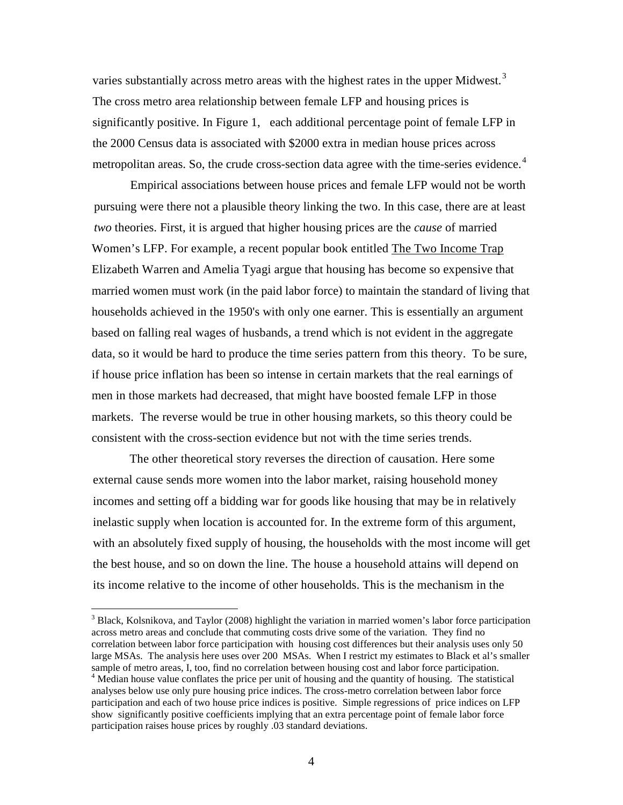varies substantially across metro areas with the highest rates in the upper Midwest.<sup>[3](#page-4-0)</sup> The cross metro area relationship between female LFP and housing prices is significantly positive. In Figure 1, each additional percentage point of female LFP in the 2000 Census data is associated with \$2000 extra in median house prices across metropolitan areas. So, the crude cross-section data agree with the time-series evidence.<sup>[4](#page-4-1)</sup>

Empirical associations between house prices and female LFP would not be worth pursuing were there not a plausible theory linking the two. In this case, there are at least *two* theories. First, it is argued that higher housing prices are the *cause* of married Women's LFP. For example, a recent popular book entitled The Two Income Trap Elizabeth Warren and Amelia Tyagi argue that housing has become so expensive that married women must work (in the paid labor force) to maintain the standard of living that households achieved in the 1950's with only one earner. This is essentially an argument based on falling real wages of husbands, a trend which is not evident in the aggregate data, so it would be hard to produce the time series pattern from this theory. To be sure, if house price inflation has been so intense in certain markets that the real earnings of men in those markets had decreased, that might have boosted female LFP in those markets. The reverse would be true in other housing markets, so this theory could be consistent with the cross-section evidence but not with the time series trends.

The other theoretical story reverses the direction of causation. Here some external cause sends more women into the labor market, raising household money incomes and setting off a bidding war for goods like housing that may be in relatively inelastic supply when location is accounted for. In the extreme form of this argument, with an absolutely fixed supply of housing, the households with the most income will get the best house, and so on down the line. The house a household attains will depend on its income relative to the income of other households. This is the mechanism in the

<span id="page-4-1"></span><span id="page-4-0"></span><sup>&</sup>lt;sup>3</sup> Black, Kolsnikova, and Taylor (2008) highlight the variation in married women's labor force participation across metro areas and conclude that commuting costs drive some of the variation. They find no correlation between labor force participation with housing cost differences but their analysis uses only 50 large MSAs. The analysis here uses over 200 MSAs. When I restrict my estimates to Black et al's smaller sample of metro areas, I, too, find no correlation between housing cost and labor force participation.<br><sup>4</sup> Median house value conflates the price per unit of housing and the quantity of housing. The statistical analyses below use only pure housing price indices. The cross-metro correlation between labor force participation and each of two house price indices is positive. Simple regressions of price indices on LFP show significantly positive coefficients implying that an extra percentage point of female labor force participation raises house prices by roughly .03 standard deviations.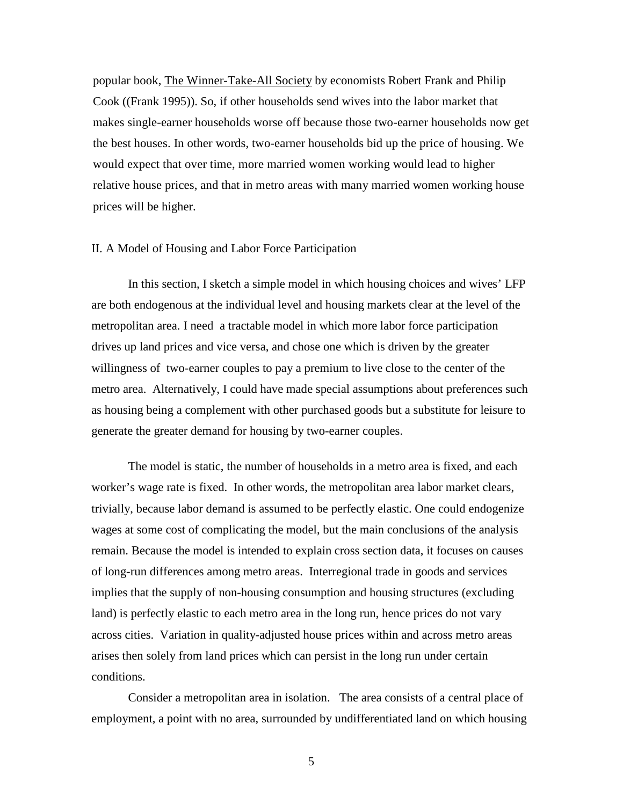popular book, The Winner-Take-All Society by economists Robert Frank and Philip Cook ((Frank 1995)). So, if other households send wives into the labor market that makes single-earner households worse off because those two-earner households now get the best houses. In other words, two-earner households bid up the price of housing. We would expect that over time, more married women working would lead to higher relative house prices, and that in metro areas with many married women working house prices will be higher.

## II. A Model of Housing and Labor Force Participation

In this section, I sketch a simple model in which housing choices and wives' LFP are both endogenous at the individual level and housing markets clear at the level of the metropolitan area. I need a tractable model in which more labor force participation drives up land prices and vice versa, and chose one which is driven by the greater willingness of two-earner couples to pay a premium to live close to the center of the metro area. Alternatively, I could have made special assumptions about preferences such as housing being a complement with other purchased goods but a substitute for leisure to generate the greater demand for housing by two-earner couples.

The model is static, the number of households in a metro area is fixed, and each worker's wage rate is fixed. In other words, the metropolitan area labor market clears, trivially, because labor demand is assumed to be perfectly elastic. One could endogenize wages at some cost of complicating the model, but the main conclusions of the analysis remain. Because the model is intended to explain cross section data, it focuses on causes of long-run differences among metro areas. Interregional trade in goods and services implies that the supply of non-housing consumption and housing structures (excluding land) is perfectly elastic to each metro area in the long run, hence prices do not vary across cities. Variation in quality-adjusted house prices within and across metro areas arises then solely from land prices which can persist in the long run under certain conditions.

Consider a metropolitan area in isolation. The area consists of a central place of employment, a point with no area, surrounded by undifferentiated land on which housing

5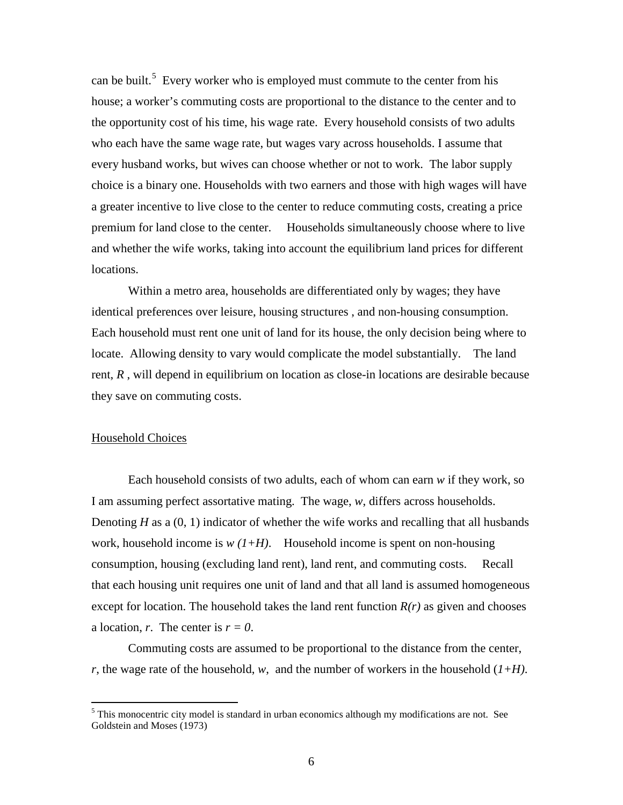can be built.<sup>[5](#page-6-0)</sup> Every worker who is employed must commute to the center from his house; a worker's commuting costs are proportional to the distance to the center and to the opportunity cost of his time, his wage rate. Every household consists of two adults who each have the same wage rate, but wages vary across households. I assume that every husband works, but wives can choose whether or not to work. The labor supply choice is a binary one. Households with two earners and those with high wages will have a greater incentive to live close to the center to reduce commuting costs, creating a price premium for land close to the center. Households simultaneously choose where to live and whether the wife works, taking into account the equilibrium land prices for different locations.

Within a metro area, households are differentiated only by wages; they have identical preferences over leisure, housing structures , and non-housing consumption. Each household must rent one unit of land for its house, the only decision being where to locate. Allowing density to vary would complicate the model substantially. The land rent, *R* , will depend in equilibrium on location as close-in locations are desirable because they save on commuting costs.

## Household Choices

Each household consists of two adults, each of whom can earn *w* if they work, so I am assuming perfect assortative mating. The wage, *w*, differs across households. Denoting *H* as a (0, 1) indicator of whether the wife works and recalling that all husbands work, household income is  $w(1+H)$ . Household income is spent on non-housing consumption, housing (excluding land rent), land rent, and commuting costs. Recall that each housing unit requires one unit of land and that all land is assumed homogeneous except for location. The household takes the land rent function  $R(r)$  as given and chooses a location, *r*. The center is  $r = 0$ .

Commuting costs are assumed to be proportional to the distance from the center, *r*, the wage rate of the household, *w*, and the number of workers in the household (*1+H)*.

<span id="page-6-0"></span> $<sup>5</sup>$  This monocentric city model is standard in urban economics although my modifications are not. See</sup> Goldstein and Moses (1973)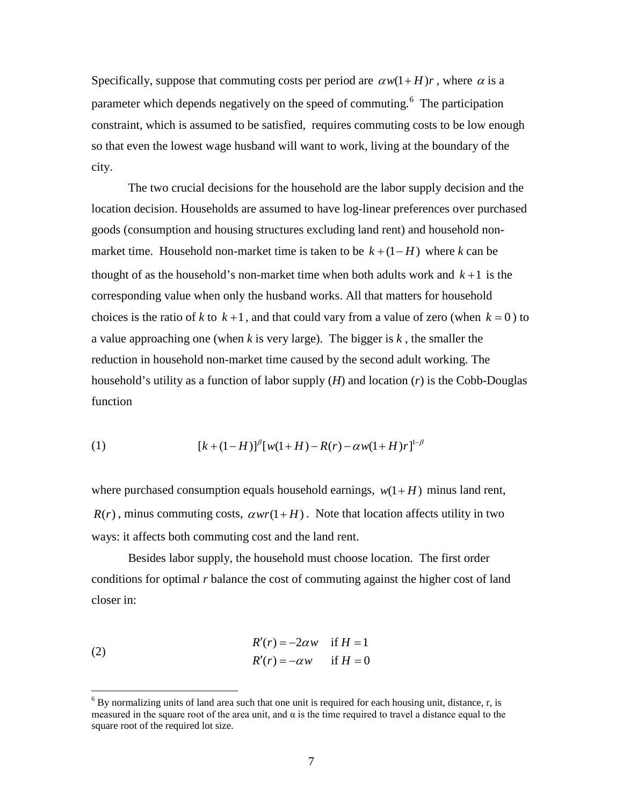Specifically, suppose that commuting costs per period are  $a w(1 + H)r$ , where  $\alpha$  is a parameter which depends negatively on the speed of commuting.<sup>[6](#page-7-0)</sup> The participation constraint, which is assumed to be satisfied, requires commuting costs to be low enough so that even the lowest wage husband will want to work, living at the boundary of the city.

The two crucial decisions for the household are the labor supply decision and the location decision. Households are assumed to have log-linear preferences over purchased goods (consumption and housing structures excluding land rent) and household nonmarket time. Household non-market time is taken to be  $k + (1 - H)$  where k can be thought of as the household's non-market time when both adults work and  $k+1$  is the corresponding value when only the husband works. All that matters for household choices is the ratio of *k* to  $k+1$ , and that could vary from a value of zero (when  $k = 0$ ) to a value approaching one (when *k* is very large). The bigger is *k* , the smaller the reduction in household non-market time caused by the second adult working. The household's utility as a function of labor supply (*H*) and location (*r*) is the Cobb-Douglas function

(1) 
$$
[k+(1-H)]^{\beta}[w(1+H)-R(r)-\alpha w(1+H)r]^{1-\beta}
$$

where purchased consumption equals household earnings,  $w(1 + H)$  minus land rent,  $R(r)$ , minus commuting costs,  $\alpha wr(1+H)$ . Note that location affects utility in two ways: it affects both commuting cost and the land rent.

Besides labor supply, the household must choose location. The first order conditions for optimal *r* balance the cost of commuting against the higher cost of land closer in:

(2) 
$$
R'(r) = -2\alpha w \quad \text{if } H = 1
$$

$$
R'(r) = -\alpha w \quad \text{if } H = 0
$$

<span id="page-7-0"></span> $6$  By normalizing units of land area such that one unit is required for each housing unit, distance, r, is measured in the square root of the area unit, and  $\alpha$  is the time required to travel a distance equal to the square root of the required lot size.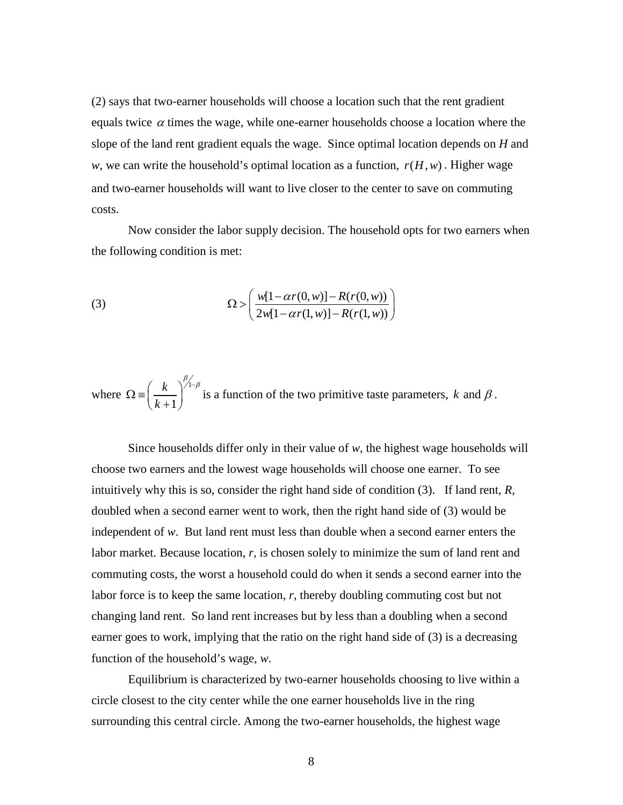(2) says that two-earner households will choose a location such that the rent gradient equals twice  $\alpha$  times the wage, while one-earner households choose a location where the slope of the land rent gradient equals the wage. Since optimal location depends on *H* and *w*, we can write the household's optimal location as a function,  $r(H, w)$ . Higher wage and two-earner households will want to live closer to the center to save on commuting costs.

Now consider the labor supply decision. The household opts for two earners when the following condition is met:

(3) 
$$
\Omega > \left( \frac{w[1 - \alpha r(0, w)] - R(r(0, w))}{2w[1 - \alpha r(1, w)] - R(r(1, w))} \right)
$$

where 
$$
\Omega = \left(\frac{k}{k+1}\right)^{\beta/2-\beta}
$$
 is a function of the two primitive taste parameters,  $k$  and  $\beta$ .

Since households differ only in their value of  $w$ , the highest wage households will choose two earners and the lowest wage households will choose one earner. To see intuitively why this is so, consider the right hand side of condition (3). If land rent, *R*, doubled when a second earner went to work, then the right hand side of (3) would be independent of *w*. But land rent must less than double when a second earner enters the labor market. Because location, *r*, is chosen solely to minimize the sum of land rent and commuting costs, the worst a household could do when it sends a second earner into the labor force is to keep the same location, *r*, thereby doubling commuting cost but not changing land rent. So land rent increases but by less than a doubling when a second earner goes to work, implying that the ratio on the right hand side of (3) is a decreasing function of the household's wage, *w*.

 Equilibrium is characterized by two-earner households choosing to live within a circle closest to the city center while the one earner households live in the ring surrounding this central circle. Among the two-earner households, the highest wage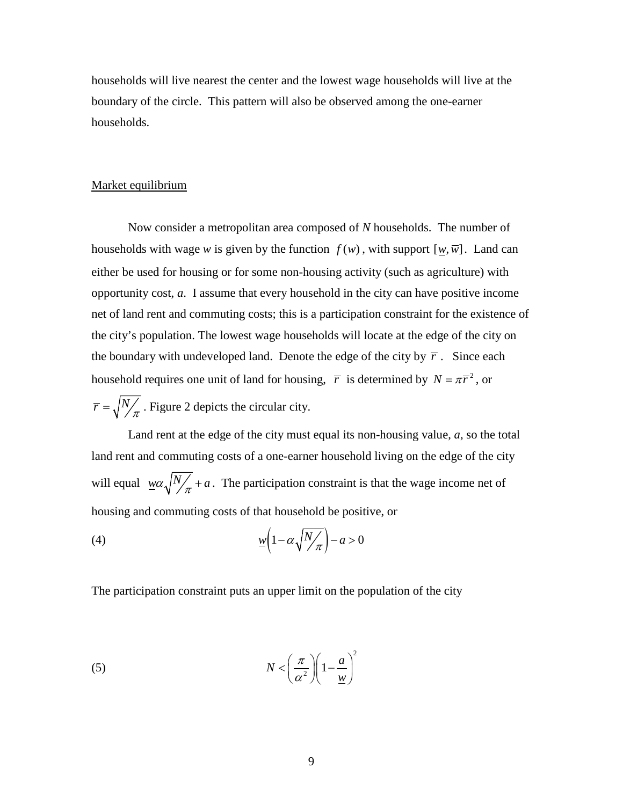households will live nearest the center and the lowest wage households will live at the boundary of the circle. This pattern will also be observed among the one-earner households.

## Market equilibrium

Now consider a metropolitan area composed of *N* households. The number of households with wage *w* is given by the function  $f(w)$ , with support  $[w, \overline{w}]$ . Land can either be used for housing or for some non-housing activity (such as agriculture) with opportunity cost, *a*. I assume that every household in the city can have positive income net of land rent and commuting costs; this is a participation constraint for the existence of the city's population. The lowest wage households will locate at the edge of the city on the boundary with undeveloped land. Denote the edge of the city by  $\bar{r}$ . Since each household requires one unit of land for housing,  $\bar{r}$  is determined by  $N = \pi \bar{r}^2$ , or  $\overline{r} = \sqrt{\frac{N}{\pi}}$ . Figure 2 depicts the circular city.

Land rent at the edge of the city must equal its non-housing value, *a*, so the total land rent and commuting costs of a one-earner household living on the edge of the city will equal  $w \alpha \sqrt{\frac{N}{\pi}} + a$ . The participation constraint is that the wage income net of housing and commuting costs of that household be positive, or

$$
(4) \qquad \qquad \mathcal{W}\left(1-\alpha\sqrt{\frac{N}{\pi}}\right)-a>0
$$

The participation constraint puts an upper limit on the population of the city

(5) 
$$
N < \left(\frac{\pi}{\alpha^2}\right) \left(1 - \frac{a}{\underline{w}}\right)^2
$$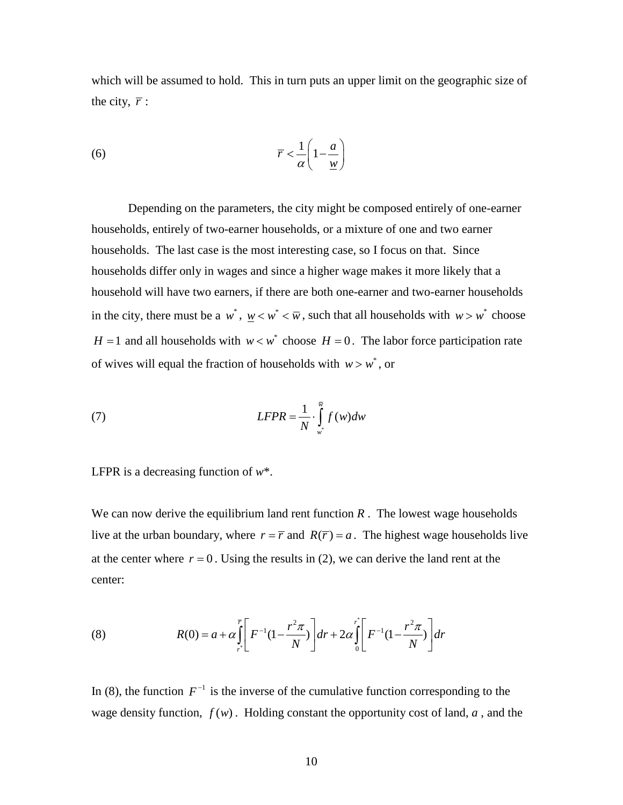which will be assumed to hold. This in turn puts an upper limit on the geographic size of the city,  $\overline{r}$  :

$$
\overline{r} < \frac{1}{\alpha} \left( 1 - \frac{a}{\underline{w}} \right)
$$

Depending on the parameters, the city might be composed entirely of one-earner households, entirely of two-earner households, or a mixture of one and two earner households. The last case is the most interesting case, so I focus on that. Since households differ only in wages and since a higher wage makes it more likely that a household will have two earners, if there are both one-earner and two-earner households in the city, there must be a  $w^*$ ,  $w < w^* < \overline{w}$ , such that all households with  $w > w^*$  choose *H* = 1 and all households with  $w < w^*$  choose *H* = 0. The labor force participation rate of wives will equal the fraction of households with  $w > w^*$ , or

(7) 
$$
LFPR = \frac{1}{N} \cdot \int_{w^*}^{\overline{w}} f(w) dw
$$

LFPR is a decreasing function of *w*\*.

We can now derive the equilibrium land rent function  $R$ . The lowest wage households live at the urban boundary, where  $r = \overline{r}$  and  $R(\overline{r}) = a$ . The highest wage households live at the center where  $r = 0$ . Using the results in (2), we can derive the land rent at the center:

(8) 
$$
R(0) = a + \alpha \int_{r}^{\overline{r}} \left[ F^{-1} (1 - \frac{r^2 \pi}{N}) \right] dr + 2 \alpha \int_{0}^{r} \left[ F^{-1} (1 - \frac{r^2 \pi}{N}) \right] dr
$$

In (8), the function  $F^{-1}$  is the inverse of the cumulative function corresponding to the wage density function,  $f(w)$ . Holding constant the opportunity cost of land,  $a$ , and the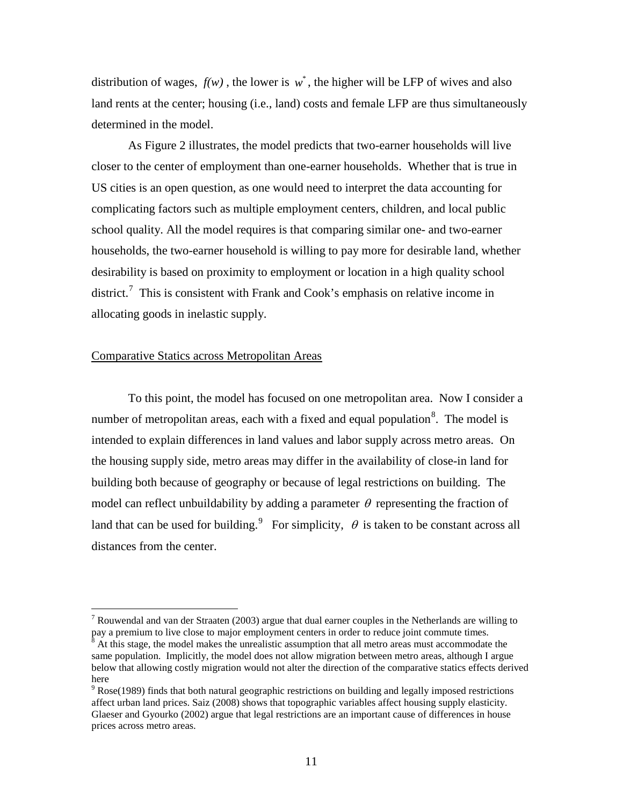distribution of wages,  $f(w)$ , the lower is  $w^*$ , the higher will be LFP of wives and also land rents at the center; housing (i.e., land) costs and female LFP are thus simultaneously determined in the model.

As Figure 2 illustrates, the model predicts that two-earner households will live closer to the center of employment than one-earner households. Whether that is true in US cities is an open question, as one would need to interpret the data accounting for complicating factors such as multiple employment centers, children, and local public school quality. All the model requires is that comparing similar one- and two-earner households, the two-earner household is willing to pay more for desirable land, whether desirability is based on proximity to employment or location in a high quality school district.<sup>[7](#page-11-0)</sup> This is consistent with Frank and Cook's emphasis on relative income in allocating goods in inelastic supply.

## Comparative Statics across Metropolitan Areas

To this point, the model has focused on one metropolitan area. Now I consider a number of metropolitan areas, each with a fixed and equal population<sup>[8](#page-11-1)</sup>. The model is model can reflect unbuildability by adding a parameter  $\theta$  representing the fraction of intended to explain differences in land values and labor supply across metro areas. On the housing supply side, metro areas may differ in the availability of close-in land for building both because of geography or because of legal restrictions on building. The land that can be used for building.<sup>[9](#page-11-2)</sup> For simplicity,  $\theta$  is taken to be constant across all distances from the center.

<span id="page-11-0"></span><sup>&</sup>lt;sup>7</sup> Rouwendal and van der Straaten (2003) argue that dual earner couples in the Netherlands are willing to pay a premium to live close to major employment centers in order to reduce joint commute times.

<span id="page-11-1"></span><sup>8</sup> At this stage, the model makes the unrealistic assumption that all metro areas must accommodate the same population. Implicitly, the model does not allow migration between metro areas, although I argue below that allowing costly migration would not alter the direction of the comparative statics effects derived here

<span id="page-11-2"></span><sup>&</sup>lt;sup>9</sup> Rose(1989) finds that both natural geographic restrictions on building and legally imposed restrictions affect urban land prices. Saiz (2008) shows that topographic variables affect housing supply elasticity. Glaeser and Gyourko (2002) argue that legal restrictions are an important cause of differences in house prices across metro areas.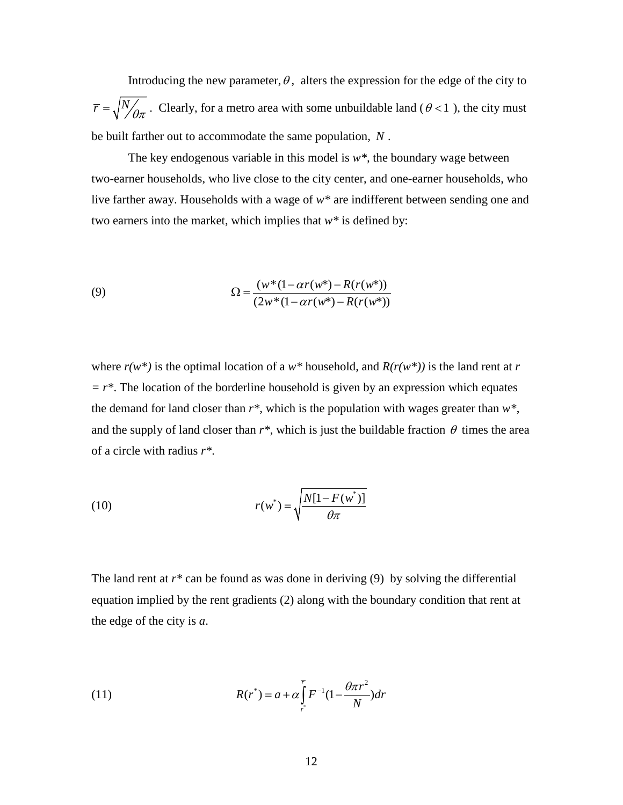Introducing the new parameter,  $\theta$ , alters the expression for the edge of the city to  $\overline{r} = \sqrt{\frac{N}{\theta \pi}}$ . Clearly, for a metro area with some unbuildable land ( $\theta$ <1), the city must be built farther out to accommodate the same population, *N* .

The key endogenous variable in this model is  $w^*$ , the boundary wage between two-earner households, who live close to the city center, and one-earner households, who live farther away. Households with a wage of *w\** are indifferent between sending one and two earners into the market, which implies that *w\** is defined by:

(9) 
$$
\Omega = \frac{(w^*(1 - \alpha r(w^*) - R(r(w^*))}{(2w^*(1 - \alpha r(w^*) - R(r(w^*))}
$$

where  $r(w^*)$  is the optimal location of a  $w^*$  household, and  $R(r(w^*))$  is the land rent at r  $r = r^*$ . The location of the borderline household is given by an expression which equates the demand for land closer than  $r^*$ , which is the population with wages greater than  $w^*$ , and the supply of land closer than  $r^*$ , which is just the buildable fraction  $\theta$  times the area of a circle with radius *r\**.

(10) 
$$
r(w^*) = \sqrt{\frac{N[1 - F(w^*)]}{\theta \pi}}
$$

The land rent at  $r^*$  can be found as was done in deriving (9) by solving the differential equation implied by the rent gradients (2) along with the boundary condition that rent at the edge of the city is *a*.

(11) 
$$
R(r^*) = a + \alpha \int_{r^*}^{\overline{r}} F^{-1} (1 - \frac{\theta \pi r^2}{N}) dr
$$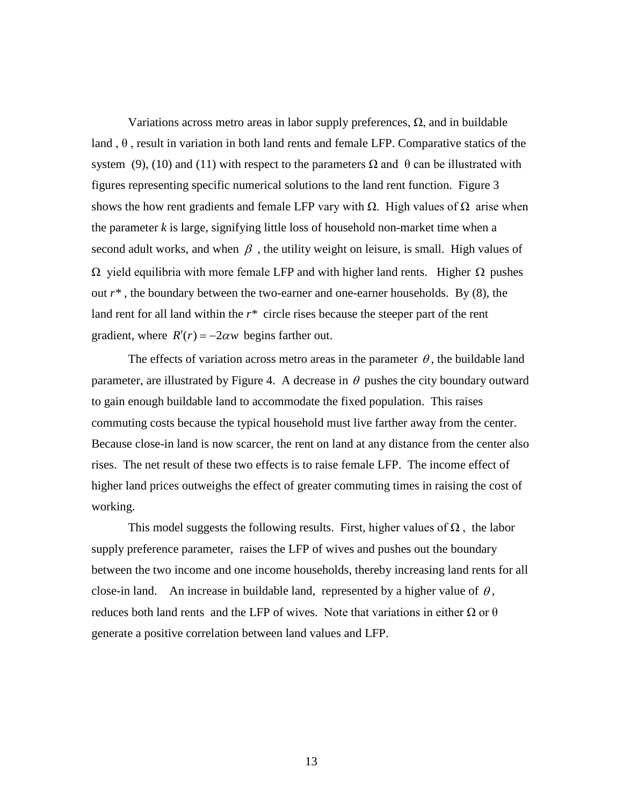Variations across metro areas in labor supply preferences,  $\Omega$ , and in buildable land,  $\theta$ , result in variation in both land rents and female LFP. Comparative statics of the system (9), (10) and (11) with respect to the parameters  $\Omega$  and θ can be illustrated with figures representing specific numerical solutions to the land rent function. Figure 3 shows the how rent gradients and female LFP vary with  $\Omega$ . High values of  $\Omega$  arise when the parameter *k* is large, signifying little loss of household non-market time when a second adult works, and when  $\beta$ , the utility weight on leisure, is small. High values of  $Ω$  yield equilibria with more female LFP and with higher land rents. Higher  $Ω$  pushes out *r\** , the boundary between the two-earner and one-earner households. By (8), the land rent for all land within the *r\** circle rises because the steeper part of the rent gradient, where  $R'(r) = -2\alpha w$  begins farther out.

The effects of variation across metro areas in the parameter  $\theta$ , the buildable land parameter, are illustrated by Figure 4. A decrease in  $\theta$  pushes the city boundary outward to gain enough buildable land to accommodate the fixed population. This raises commuting costs because the typical household must live farther away from the center. Because close-in land is now scarcer, the rent on land at any distance from the center also rises. The net result of these two effects is to raise female LFP. The income effect of higher land prices outweighs the effect of greater commuting times in raising the cost of working.

This model suggests the following results. First, higher values of  $\Omega$ , the labor supply preference parameter, raises the LFP of wives and pushes out the boundary between the two income and one income households, thereby increasing land rents for all close-in land. An increase in buildable land, represented by a higher value of  $\theta$ , reduces both land rents and the LFP of wives. Note that variations in either  $\Omega$  or  $\theta$ generate a positive correlation between land values and LFP.

13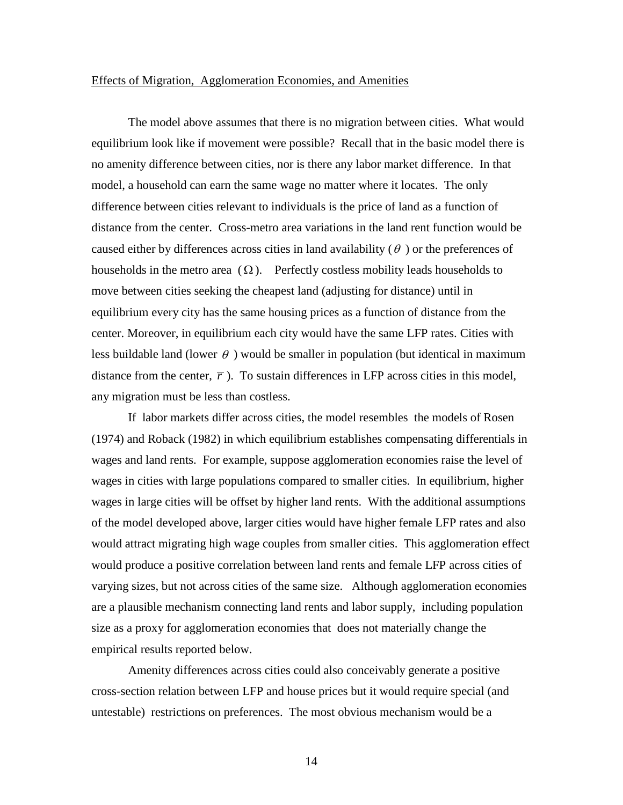## Effects of Migration, Agglomeration Economies, and Amenities

The model above assumes that there is no migration between cities. What would equilibrium look like if movement were possible? Recall that in the basic model there is no amenity difference between cities, nor is there any labor market difference. In that model, a household can earn the same wage no matter where it locates. The only difference between cities relevant to individuals is the price of land as a function of distance from the center. Cross-metro area variations in the land rent function would be caused either by differences across cities in land availability  $(\theta)$  or the preferences of households in the metro area  $(\Omega)$ . Perfectly costless mobility leads households to move between cities seeking the cheapest land (adjusting for distance) until in equilibrium every city has the same housing prices as a function of distance from the center. Moreover, in equilibrium each city would have the same LFP rates. Cities with less buildable land (lower  $\theta$ ) would be smaller in population (but identical in maximum distance from the center,  $\bar{r}$ ). To sustain differences in LFP across cities in this model, any migration must be less than costless.

If labor markets differ across cities, the model resembles the models of Rosen (1974) and Roback (1982) in which equilibrium establishes compensating differentials in wages and land rents. For example, suppose agglomeration economies raise the level of wages in cities with large populations compared to smaller cities. In equilibrium, higher wages in large cities will be offset by higher land rents. With the additional assumptions of the model developed above, larger cities would have higher female LFP rates and also would attract migrating high wage couples from smaller cities. This agglomeration effect would produce a positive correlation between land rents and female LFP across cities of varying sizes, but not across cities of the same size. Although agglomeration economies are a plausible mechanism connecting land rents and labor supply, including population size as a proxy for agglomeration economies that does not materially change the empirical results reported below.

Amenity differences across cities could also conceivably generate a positive cross-section relation between LFP and house prices but it would require special (and untestable) restrictions on preferences. The most obvious mechanism would be a

14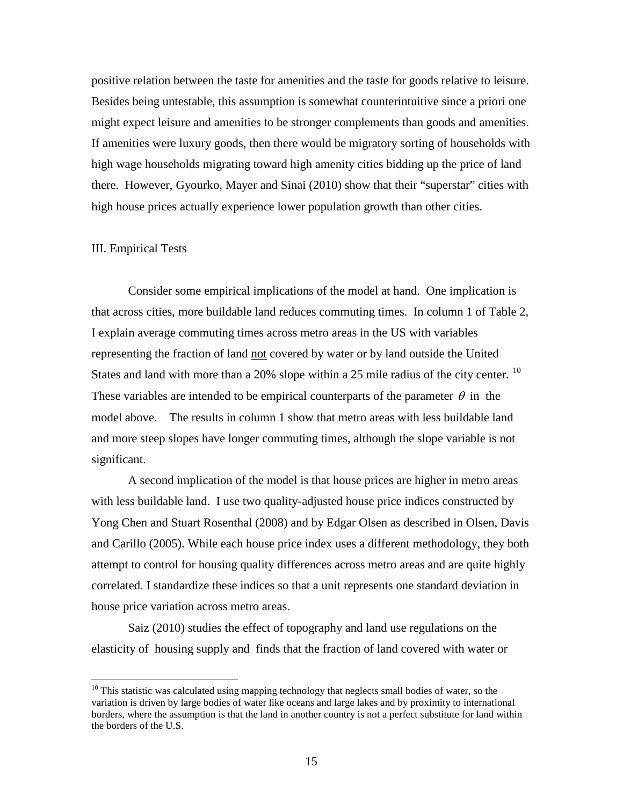positive relation between the taste for amenities and the taste for goods relative to leisure. Besides being untestable, this assumption is somewhat counterintuitive since a priori one might expect leisure and amenities to be stronger complements than goods and amenities. If amenities were luxury goods, then there would be migratory sorting of households with high wage households migrating toward high amenity cities bidding up the price of land there. However, Gyourko, Mayer and Sinai (2010) show that their "superstar" cities with high house prices actually experience lower population growth than other cities.

## III. Empirical Tests

Consider some empirical implications of the model at hand. One implication is that across cities, more buildable land reduces commuting times. In column 1 of Table 2, I explain average commuting times across metro areas in the US with variables representing the fraction of land not covered by water or by land outside the United States and land with more than a 20% slope within a 25 mile radius of the city center.  $^{10}$  $^{10}$  $^{10}$ These variables are intended to be empirical counterparts of the parameter  $\theta$  in the model above. The results in column 1 show that metro areas with less buildable land and more steep slopes have longer commuting times, although the slope variable is not significant.

A second implication of the model is that house prices are higher in metro areas with less buildable land. I use two quality-adjusted house price indices constructed by Yong Chen and Stuart Rosenthal (2008) and by Edgar Olsen as described in Olsen, Davis and Carillo (2005). While each house price index uses a different methodology, they both attempt to control for housing quality differences across metro areas and are quite highly correlated. I standardize these indices so that a unit represents one standard deviation in house price variation across metro areas.

Saiz (2010) studies the effect of topography and land use regulations on the elasticity of housing supply and finds that the fraction of land covered with water or

<span id="page-15-0"></span><sup>&</sup>lt;sup>10</sup> This statistic was calculated using mapping technology that neglects small bodies of water, so the variation is driven by large bodies of water like oceans and large lakes and by proximity to international borders, where the assumption is that the land in another country is not a perfect substitute for land within the borders of the U.S.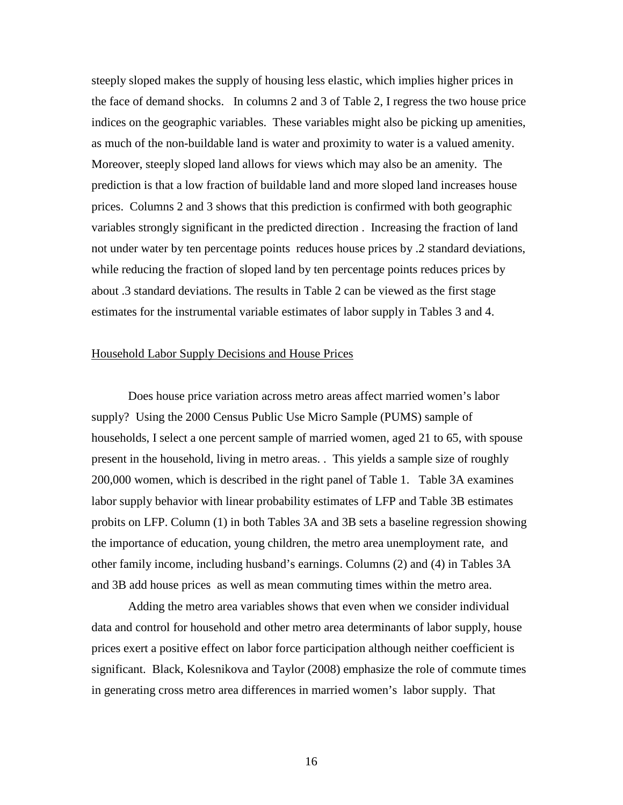steeply sloped makes the supply of housing less elastic, which implies higher prices in the face of demand shocks. In columns 2 and 3 of Table 2, I regress the two house price indices on the geographic variables. These variables might also be picking up amenities, as much of the non-buildable land is water and proximity to water is a valued amenity. Moreover, steeply sloped land allows for views which may also be an amenity. The prediction is that a low fraction of buildable land and more sloped land increases house prices. Columns 2 and 3 shows that this prediction is confirmed with both geographic variables strongly significant in the predicted direction . Increasing the fraction of land not under water by ten percentage points reduces house prices by .2 standard deviations, while reducing the fraction of sloped land by ten percentage points reduces prices by about .3 standard deviations. The results in Table 2 can be viewed as the first stage estimates for the instrumental variable estimates of labor supply in Tables 3 and 4.

## Household Labor Supply Decisions and House Prices

Does house price variation across metro areas affect married women's labor supply? Using the 2000 Census Public Use Micro Sample (PUMS) sample of households, I select a one percent sample of married women, aged 21 to 65, with spouse present in the household, living in metro areas. . This yields a sample size of roughly 200,000 women, which is described in the right panel of Table 1. Table 3A examines labor supply behavior with linear probability estimates of LFP and Table 3B estimates probits on LFP. Column (1) in both Tables 3A and 3B sets a baseline regression showing the importance of education, young children, the metro area unemployment rate, and other family income, including husband's earnings. Columns (2) and (4) in Tables 3A and 3B add house prices as well as mean commuting times within the metro area.

Adding the metro area variables shows that even when we consider individual data and control for household and other metro area determinants of labor supply, house prices exert a positive effect on labor force participation although neither coefficient is significant. Black, Kolesnikova and Taylor (2008) emphasize the role of commute times in generating cross metro area differences in married women's labor supply. That

16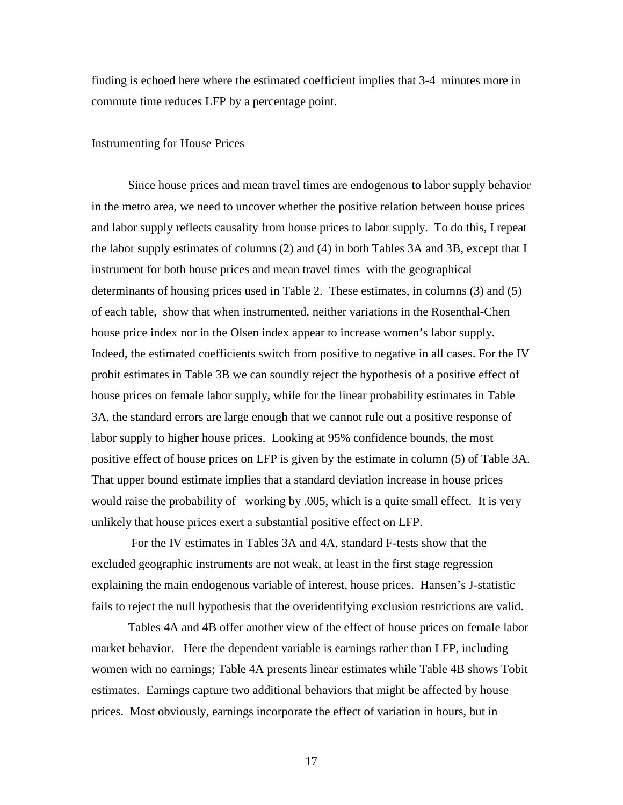finding is echoed here where the estimated coefficient implies that 3-4 minutes more in commute time reduces LFP by a percentage point.

## Instrumenting for House Prices

Since house prices and mean travel times are endogenous to labor supply behavior in the metro area, we need to uncover whether the positive relation between house prices and labor supply reflects causality from house prices to labor supply. To do this, I repeat the labor supply estimates of columns (2) and (4) in both Tables 3A and 3B, except that I instrument for both house prices and mean travel times with the geographical determinants of housing prices used in Table 2. These estimates, in columns (3) and (5) of each table, show that when instrumented, neither variations in the Rosenthal-Chen house price index nor in the Olsen index appear to increase women's labor supply. Indeed, the estimated coefficients switch from positive to negative in all cases. For the IV probit estimates in Table 3B we can soundly reject the hypothesis of a positive effect of house prices on female labor supply, while for the linear probability estimates in Table 3A, the standard errors are large enough that we cannot rule out a positive response of labor supply to higher house prices. Looking at 95% confidence bounds, the most positive effect of house prices on LFP is given by the estimate in column (5) of Table 3A. That upper bound estimate implies that a standard deviation increase in house prices would raise the probability of working by .005, which is a quite small effect. It is very unlikely that house prices exert a substantial positive effect on LFP.

For the IV estimates in Tables 3A and 4A, standard F-tests show that the excluded geographic instruments are not weak, at least in the first stage regression explaining the main endogenous variable of interest, house prices. Hansen's J-statistic fails to reject the null hypothesis that the overidentifying exclusion restrictions are valid.

Tables 4A and 4B offer another view of the effect of house prices on female labor market behavior. Here the dependent variable is earnings rather than LFP, including women with no earnings; Table 4A presents linear estimates while Table 4B shows Tobit estimates. Earnings capture two additional behaviors that might be affected by house prices. Most obviously, earnings incorporate the effect of variation in hours, but in

17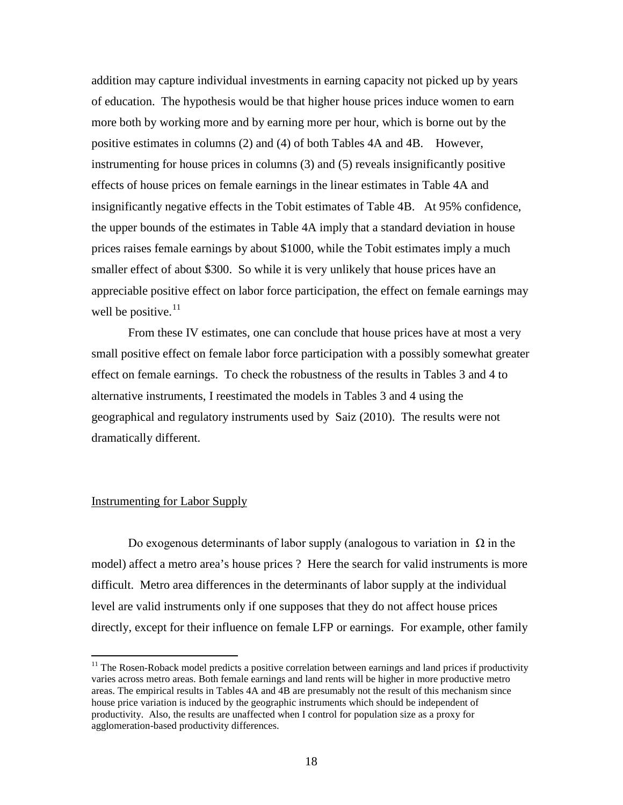addition may capture individual investments in earning capacity not picked up by years of education. The hypothesis would be that higher house prices induce women to earn more both by working more and by earning more per hour, which is borne out by the positive estimates in columns (2) and (4) of both Tables 4A and 4B. However, instrumenting for house prices in columns (3) and (5) reveals insignificantly positive effects of house prices on female earnings in the linear estimates in Table 4A and insignificantly negative effects in the Tobit estimates of Table 4B. At 95% confidence, the upper bounds of the estimates in Table 4A imply that a standard deviation in house prices raises female earnings by about \$1000, while the Tobit estimates imply a much smaller effect of about \$300. So while it is very unlikely that house prices have an appreciable positive effect on labor force participation, the effect on female earnings may well be positive. $11$ 

From these IV estimates, one can conclude that house prices have at most a very small positive effect on female labor force participation with a possibly somewhat greater effect on female earnings. To check the robustness of the results in Tables 3 and 4 to alternative instruments, I reestimated the models in Tables 3 and 4 using the geographical and regulatory instruments used by Saiz (2010). The results were not dramatically different.

## Instrumenting for Labor Supply

Do exogenous determinants of labor supply (analogous to variation in  $\Omega$  in the model) affect a metro area's house prices ? Here the search for valid instruments is more difficult. Metro area differences in the determinants of labor supply at the individual level are valid instruments only if one supposes that they do not affect house prices directly, except for their influence on female LFP or earnings. For example, other family

<span id="page-18-0"></span> $11$  The Rosen-Roback model predicts a positive correlation between earnings and land prices if productivity varies across metro areas. Both female earnings and land rents will be higher in more productive metro areas. The empirical results in Tables 4A and 4B are presumably not the result of this mechanism since house price variation is induced by the geographic instruments which should be independent of productivity. Also, the results are unaffected when I control for population size as a proxy for agglomeration-based productivity differences.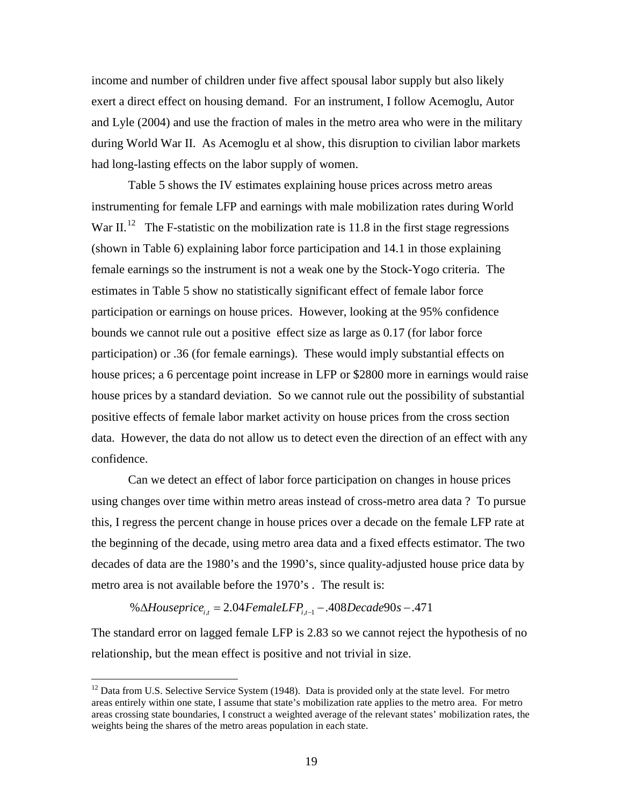income and number of children under five affect spousal labor supply but also likely exert a direct effect on housing demand. For an instrument, I follow Acemoglu, Autor and Lyle (2004) and use the fraction of males in the metro area who were in the military during World War II. As Acemoglu et al show, this disruption to civilian labor markets had long-lasting effects on the labor supply of women.

Table 5 shows the IV estimates explaining house prices across metro areas instrumenting for female LFP and earnings with male mobilization rates during World War II.<sup>[12](#page-19-0)</sup> The F-statistic on the mobilization rate is 11.8 in the first stage regressions (shown in Table 6) explaining labor force participation and 14.1 in those explaining female earnings so the instrument is not a weak one by the Stock-Yogo criteria. The estimates in Table 5 show no statistically significant effect of female labor force participation or earnings on house prices. However, looking at the 95% confidence bounds we cannot rule out a positive effect size as large as 0.17 (for labor force participation) or .36 (for female earnings). These would imply substantial effects on house prices; a 6 percentage point increase in LFP or \$2800 more in earnings would raise house prices by a standard deviation. So we cannot rule out the possibility of substantial positive effects of female labor market activity on house prices from the cross section data. However, the data do not allow us to detect even the direction of an effect with any confidence.

Can we detect an effect of labor force participation on changes in house prices using changes over time within metro areas instead of cross-metro area data ? To pursue this, I regress the percent change in house prices over a decade on the female LFP rate at the beginning of the decade, using metro area data and a fixed effects estimator. The two decades of data are the 1980's and the 1990's, since quality-adjusted house price data by metro area is not available before the 1970's . The result is:

% ∆*Houseprice<sub>it</sub>* = 2.04 FemaleLFP<sub>it-1</sub> -  $.408$ Decade90s -  $.471$ 

The standard error on lagged female LFP is 2.83 so we cannot reject the hypothesis of no relationship, but the mean effect is positive and not trivial in size.

<span id="page-19-0"></span> $12$  Data from U.S. Selective Service System (1948). Data is provided only at the state level. For metro areas entirely within one state, I assume that state's mobilization rate applies to the metro area. For metro areas crossing state boundaries, I construct a weighted average of the relevant states' mobilization rates, the weights being the shares of the metro areas population in each state.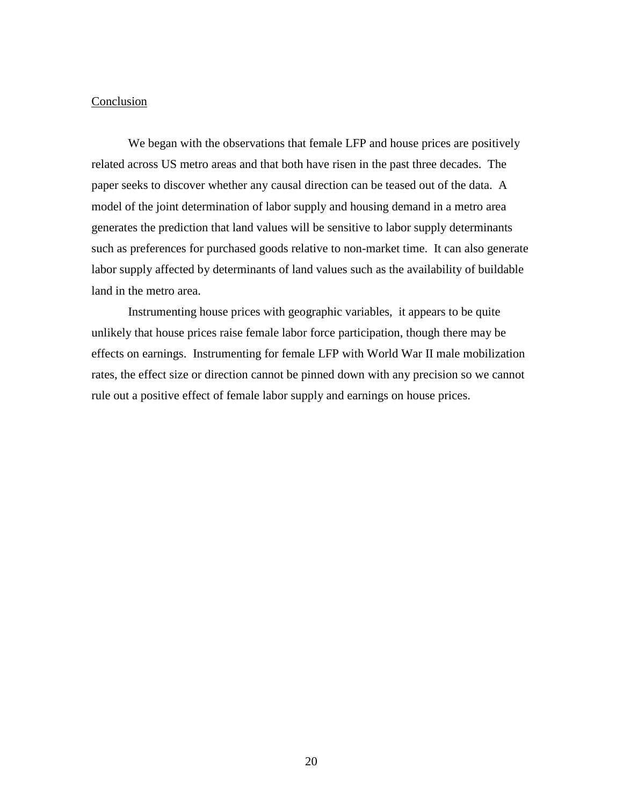## Conclusion

We began with the observations that female LFP and house prices are positively related across US metro areas and that both have risen in the past three decades. The paper seeks to discover whether any causal direction can be teased out of the data. A model of the joint determination of labor supply and housing demand in a metro area generates the prediction that land values will be sensitive to labor supply determinants such as preferences for purchased goods relative to non-market time. It can also generate labor supply affected by determinants of land values such as the availability of buildable land in the metro area.

Instrumenting house prices with geographic variables, it appears to be quite unlikely that house prices raise female labor force participation, though there may be effects on earnings. Instrumenting for female LFP with World War II male mobilization rates, the effect size or direction cannot be pinned down with any precision so we cannot rule out a positive effect of female labor supply and earnings on house prices.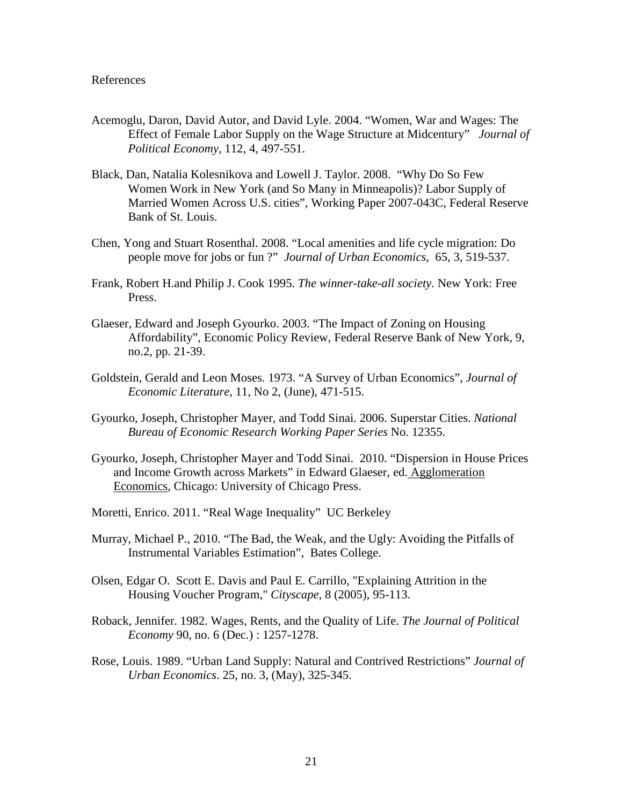## References

- Acemoglu, Daron, David Autor, and David Lyle. 2004. "Women, War and Wages: The Effect of Female Labor Supply on the Wage Structure at Midcentury" *Journal of Political Economy*, 112, 4, 497-551.
- Black, Dan, Natalia Kolesnikova and Lowell J. Taylor. 2008. "Why Do So Few Women Work in New York (and So Many in Minneapolis)? Labor Supply of Married Women Across U.S. cities", Working Paper 2007-043C, Federal Reserve Bank of St. Louis.
- Chen, Yong and Stuart Rosenthal. 2008. "Local amenities and life cycle migration: Do people move for jobs or fun ?" *Journal of Urban Economics*, 65, 3, 519-537.
- Frank, Robert H.and Philip J. Cook 1995. *The winner-take-all society.* New York: Free Press.
- Glaeser, Edward and Joseph Gyourko. 2003. "The Impact of Zoning on Housing Affordability", Economic Policy Review, Federal Reserve Bank of New York, 9, no.2, pp. 21-39.
- Goldstein, Gerald and Leon Moses. 1973. "A Survey of Urban Economics", *Journal of Economic Literature*, 11, No 2, (June), 471-515.
- Gyourko, Joseph, Christopher Mayer, and Todd Sinai. 2006. Superstar Cities. *National Bureau of Economic Research Working Paper Series* No. 12355.
- Gyourko, Joseph, Christopher Mayer and Todd Sinai. 2010. "Dispersion in House Prices and Income Growth across Markets" in Edward Glaeser, ed. Agglomeration Economics, Chicago: University of Chicago Press.
- Moretti, Enrico. 2011. "Real Wage Inequality" UC Berkeley
- Murray, Michael P., 2010. "The Bad, the Weak, and the Ugly: Avoiding the Pitfalls of Instrumental Variables Estimation", Bates College.
- Olsen, Edgar O. Scott E. Davis and Paul E. Carrillo, "Explaining Attrition in the Housing Voucher Program," *Cityscape*, 8 (2005), 95-113.
- Roback, Jennifer. 1982. Wages, Rents, and the Quality of Life. *The Journal of Political Economy* 90, no. 6 (Dec.) : 1257-1278.
- Rose, Louis. 1989. "Urban Land Supply: Natural and Contrived Restrictions" *Journal of Urban Economics*. 25, no. 3, (May), 325-345.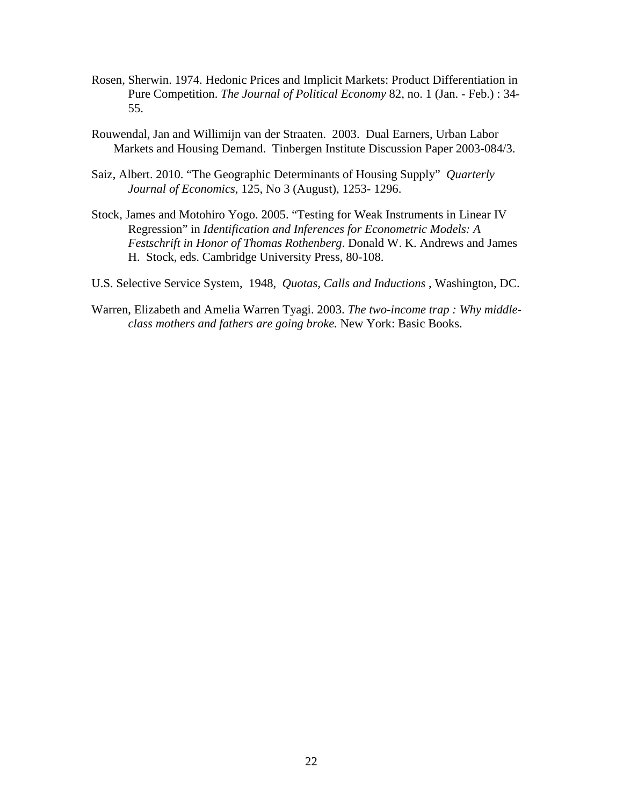- Rosen, Sherwin. 1974. Hedonic Prices and Implicit Markets: Product Differentiation in Pure Competition. *The Journal of Political Economy* 82, no. 1 (Jan. - Feb.) : 34- 55.
- Rouwendal, Jan and Willimijn van der Straaten. 2003. Dual Earners, Urban Labor Markets and Housing Demand. Tinbergen Institute Discussion Paper 2003-084/3.
- Saiz, Albert. 2010. "The Geographic Determinants of Housing Supply" *Quarterly Journal of Economics*, 125, No 3 (August), 1253- 1296.
- Stock, James and Motohiro Yogo. 2005. "Testing for Weak Instruments in Linear IV Regression" in *Identification and Inferences for Econometric Models: A Festschrift in Honor of Thomas Rothenberg*. Donald W. K. Andrews and James H. Stock, eds. Cambridge University Press, 80-108.
- U.S. Selective Service System, 1948, *Quotas, Calls and Inductions* , Washington, DC.
- Warren, Elizabeth and Amelia Warren Tyagi. 2003. *The two-income trap : Why middleclass mothers and fathers are going broke.* New York: Basic Books.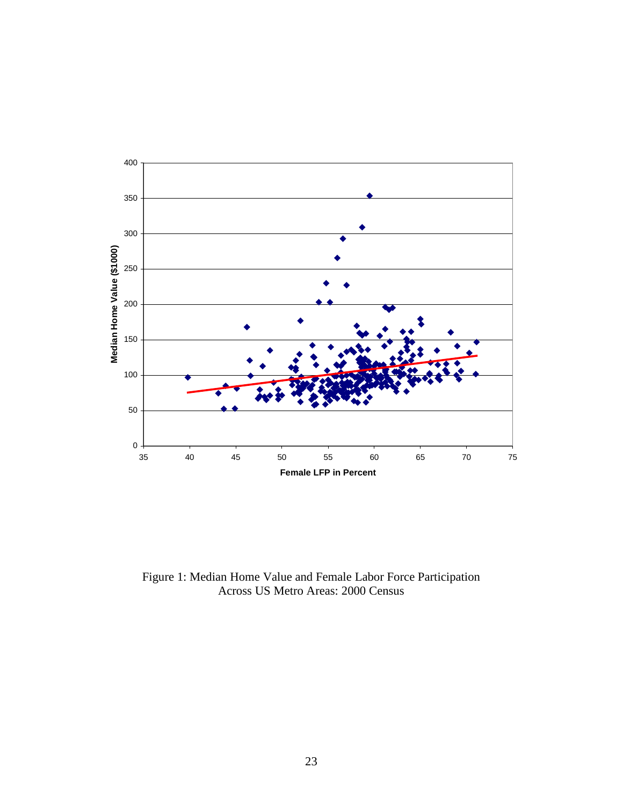

Figure 1: Median Home Value and Female Labor Force Participation Across US Metro Areas: 2000 Census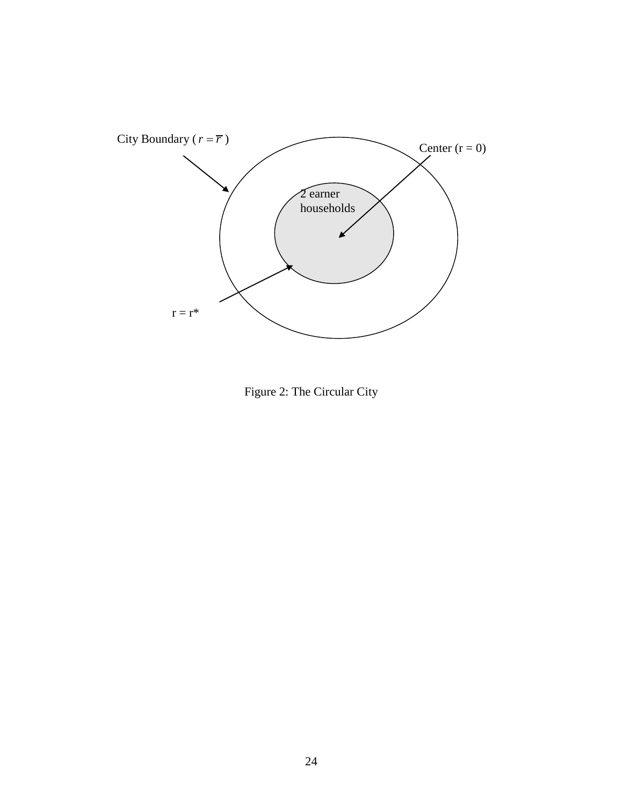

Figure 2: The Circular City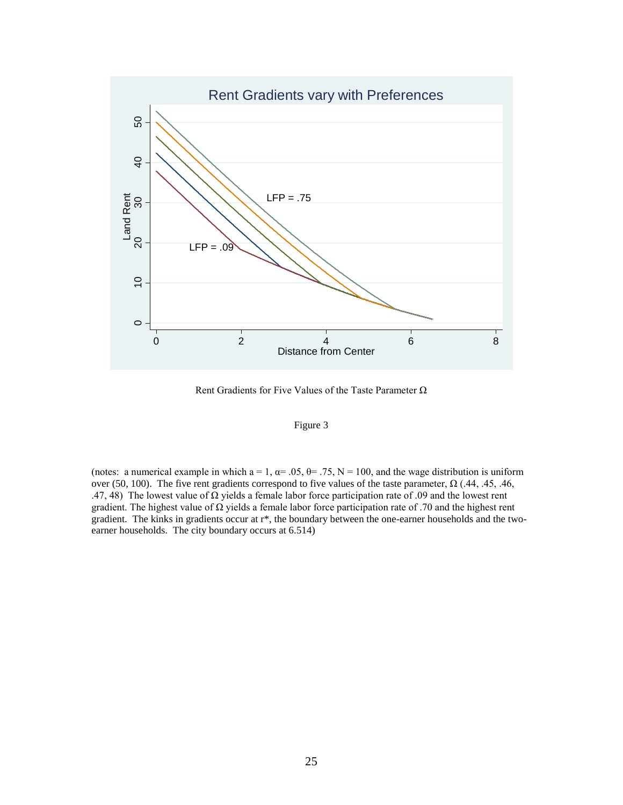

Rent Gradients for Five Values of the Taste Parameter Ω



(notes: a numerical example in which  $a = 1$ ,  $\alpha = .05$ ,  $\theta = .75$ ,  $N = 100$ , and the wage distribution is uniform over (50, 100). The five rent gradients correspond to five values of the taste parameter,  $\Omega$  (.44, .45, .46, .47, 48) The lowest value of  $\Omega$  yields a female labor force participation rate of .09 and the lowest rent gradient. The highest value of  $\Omega$  yields a female labor force participation rate of .70 and the highest rent gradient. The kinks in gradients occur at r\*, the boundary between the one-earner households and the twoearner households. The city boundary occurs at 6.514)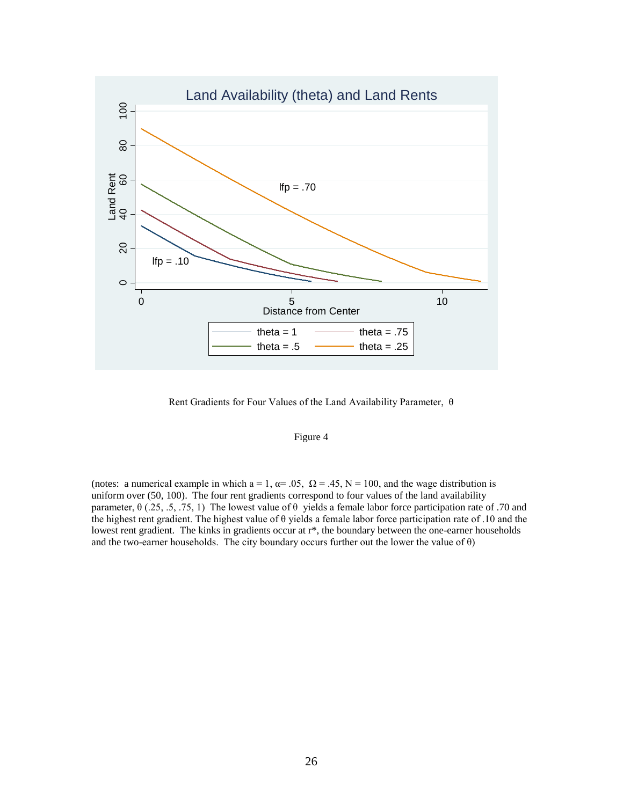

Rent Gradients for Four Values of the Land Availability Parameter, θ

### Figure 4

(notes: a numerical example in which a = 1,  $\alpha$  = .05,  $\Omega$  = .45, N = 100, and the wage distribution is uniform over (50, 100). The four rent gradients correspond to four values of the land availability parameter, θ (.25, .5, .75, 1) The lowest value of θ yields a female labor force participation rate of .70 and the highest rent gradient. The highest value of θ yields a female labor force participation rate of .10 and the lowest rent gradient. The kinks in gradients occur at r\*, the boundary between the one-earner households and the two-earner households. The city boundary occurs further out the lower the value of  $\theta$ )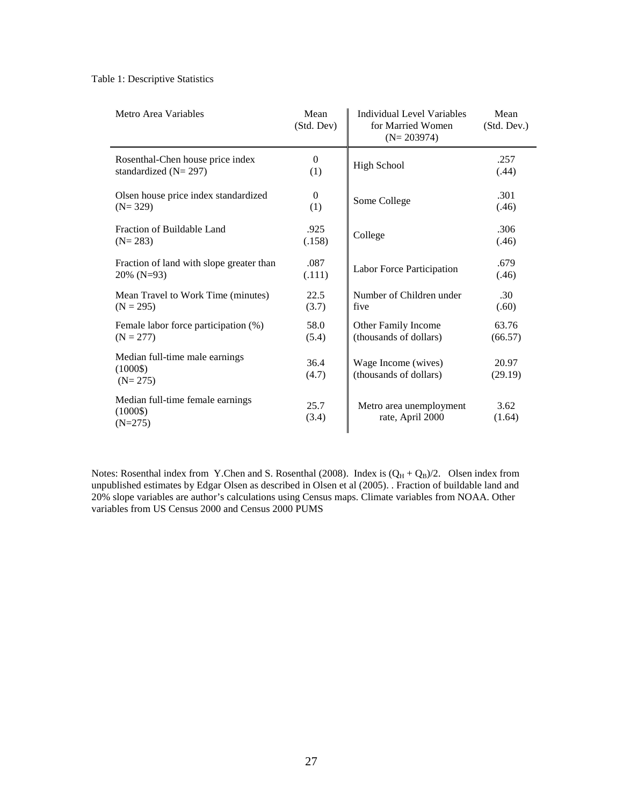#### Table 1: Descriptive Statistics

| Metro Area Variables                                      | Mean<br>(Std. Dev) | Individual Level Variables<br>for Married Women<br>$(N=203974)$ | Mean<br>(Std. Dev.) |
|-----------------------------------------------------------|--------------------|-----------------------------------------------------------------|---------------------|
| Rosenthal-Chen house price index                          | $\theta$           | <b>High School</b>                                              | .257                |
| standardized $(N=297)$                                    | (1)                |                                                                 | (.44)               |
| Olsen house price index standardized                      | $\Omega$           | Some College                                                    | .301                |
| $(N=329)$                                                 | (1)                |                                                                 | (.46)               |
| Fraction of Buildable Land                                | .925               | College                                                         | .306                |
| $(N=283)$                                                 | (.158)             |                                                                 | (.46)               |
| Fraction of land with slope greater than                  | .087               | Labor Force Participation                                       | .679                |
| $20\%$ (N=93)                                             | (.111)             |                                                                 | (.46)               |
| Mean Travel to Work Time (minutes)                        | 22.5               | Number of Children under                                        | .30                 |
| $(N = 295)$                                               | (3.7)              | five                                                            | (.60)               |
| Female labor force participation (%)                      | 58.0               | Other Family Income                                             | 63.76               |
| $(N = 277)$                                               | (5.4)              | (thousands of dollars)                                          | (66.57)             |
| Median full-time male earnings<br>$(1000\$<br>$(N=275)$   | 36.4<br>(4.7)      | Wage Income (wives)<br>(thousands of dollars)                   | 20.97<br>(29.19)    |
| Median full-time female earnings<br>$(1000\$<br>$(N=275)$ | 25.7<br>(3.4)      | Metro area unemployment<br>rate, April 2000                     | 3.62<br>(1.64)      |

Notes: Rosenthal index from Y.Chen and S. Rosenthal (2008). Index is  $(Q_H + Q_B)/2$ . Olsen index from unpublished estimates by Edgar Olsen as described in Olsen et al (2005). . Fraction of buildable land and 20% slope variables are author's calculations using Census maps. Climate variables from NOAA. Other variables from US Census 2000 and Census 2000 PUMS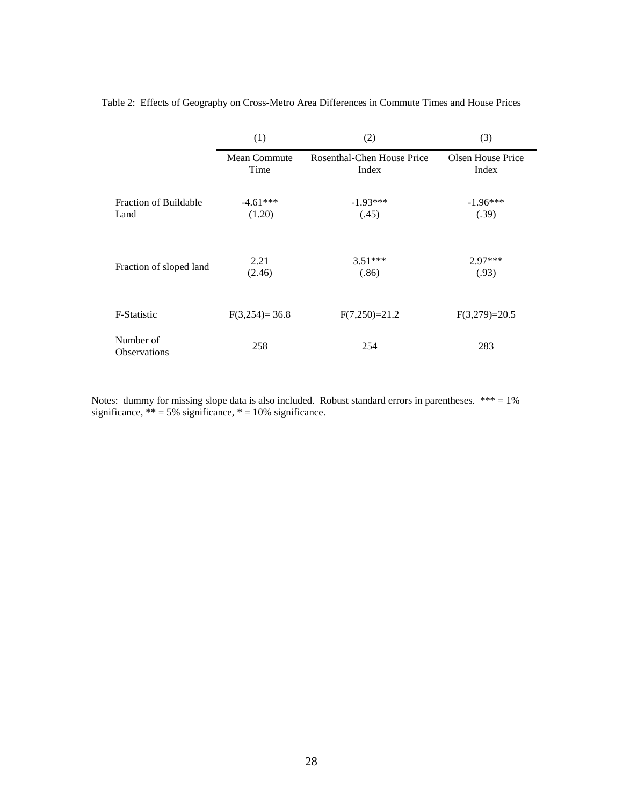|                                  | (1)             | (2)                        | (3)               |
|----------------------------------|-----------------|----------------------------|-------------------|
|                                  | Mean Commute    | Rosenthal-Chen House Price | Olsen House Price |
|                                  | Time            | Index                      | Index             |
| <b>Fraction of Buildable</b>     | $-4.61***$      | $-1.93***$                 | $-1.96***$        |
| Land                             | (1.20)          | (.45)                      | (.39)             |
| Fraction of sloped land          | 2.21            | $3.51***$                  | $2.97***$         |
|                                  | (2.46)          | (.86)                      | (.93)             |
| F-Statistic                      | $F(3,254)=36.8$ | $F(7,250)=21.2$            | $F(3,279)=20.5$   |
| Number of<br><b>Observations</b> | 258             | 254                        | 283               |

Table 2: Effects of Geography on Cross-Metro Area Differences in Commute Times and House Prices

Notes: dummy for missing slope data is also included. Robust standard errors in parentheses. \*\*\* = 1% significance,  $** = 5\%$  significance,  $* = 10\%$  significance.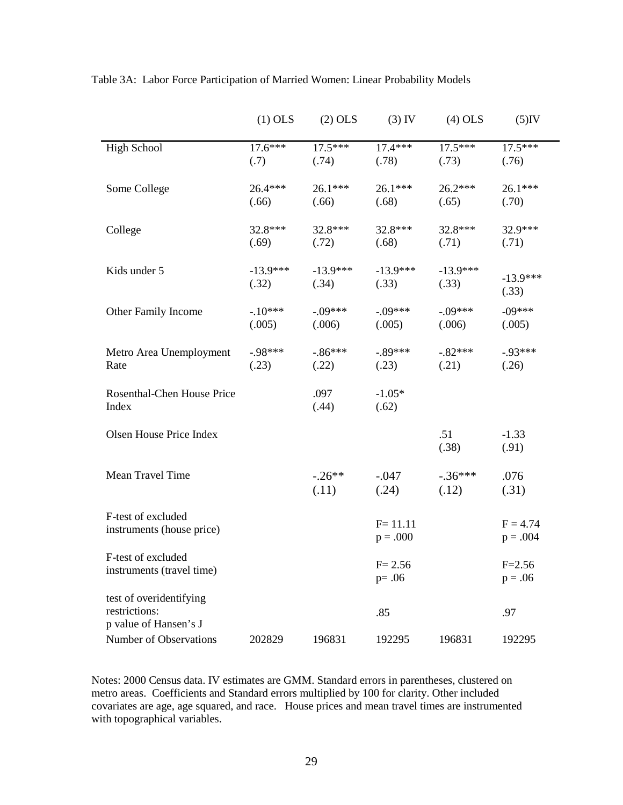|                                                                   | $(1)$ OLS           | $(2)$ OLS           | $(3)$ IV                  | $(4)$ OLS           | $(5)$ IV                 |  |
|-------------------------------------------------------------------|---------------------|---------------------|---------------------------|---------------------|--------------------------|--|
| <b>High School</b>                                                | $17.6***$<br>(.7)   | $17.5***$<br>(.74)  | $17.4***$<br>(.78)        | $17.5***$<br>(.73)  | $17.5***$<br>(.76)       |  |
| Some College                                                      | 26.4***<br>(.66)    | 26.1***<br>(.66)    | 26.1***<br>(.68)          | $26.2***$<br>(.65)  | 26.1***<br>(.70)         |  |
| College                                                           | 32.8***<br>(.69)    | 32.8***<br>(.72)    | 32.8***<br>(.68)          | 32.8***<br>(.71)    | 32.9***<br>(.71)         |  |
| Kids under 5                                                      | $-13.9***$<br>(.32) | $-13.9***$<br>(.34) | $-13.9***$<br>(.33)       | $-13.9***$<br>(.33) | $-13.9***$<br>(.33)      |  |
| Other Family Income                                               | $-10***$<br>(.005)  | $-.09***$<br>(.006) | $-.09***$<br>(.005)       | $-.09***$<br>(.006) | $-09***$<br>(.005)       |  |
| Metro Area Unemployment<br>Rate                                   | $-98***$<br>(.23)   | $-.86***$<br>(.22)  | $-.89***$<br>(.23)        | $-.82***$<br>(.21)  | $-93***$<br>(.26)        |  |
| Rosenthal-Chen House Price<br>Index                               |                     | .097<br>(.44)       | $-1.05*$<br>(.62)         |                     |                          |  |
| Olsen House Price Index                                           |                     |                     |                           | .51<br>(.38)        | $-1.33$<br>(.91)         |  |
| Mean Travel Time                                                  |                     | $-.26**$<br>(.11)   | $-.047$<br>(.24)          | $-.36***$<br>(.12)  | .076<br>(.31)            |  |
| F-test of excluded<br>instruments (house price)                   |                     |                     | $F = 11.11$<br>$p = .000$ |                     | $F = 4.74$<br>$p = .004$ |  |
| F-test of excluded<br>instruments (travel time)                   |                     |                     | $F = 2.56$<br>$p = .06$   |                     | $F = 2.56$<br>$p = .06$  |  |
| test of overidentifying<br>restrictions:<br>p value of Hansen's J |                     |                     | .85                       |                     | .97                      |  |
| Number of Observations                                            | 202829              | 196831              | 192295                    | 196831              | 192295                   |  |

Table 3A: Labor Force Participation of Married Women: Linear Probability Models

Notes: 2000 Census data. IV estimates are GMM. Standard errors in parentheses, clustered on metro areas. Coefficients and Standard errors multiplied by 100 for clarity. Other included covariates are age, age squared, and race. House prices and mean travel times are instrumented with topographical variables.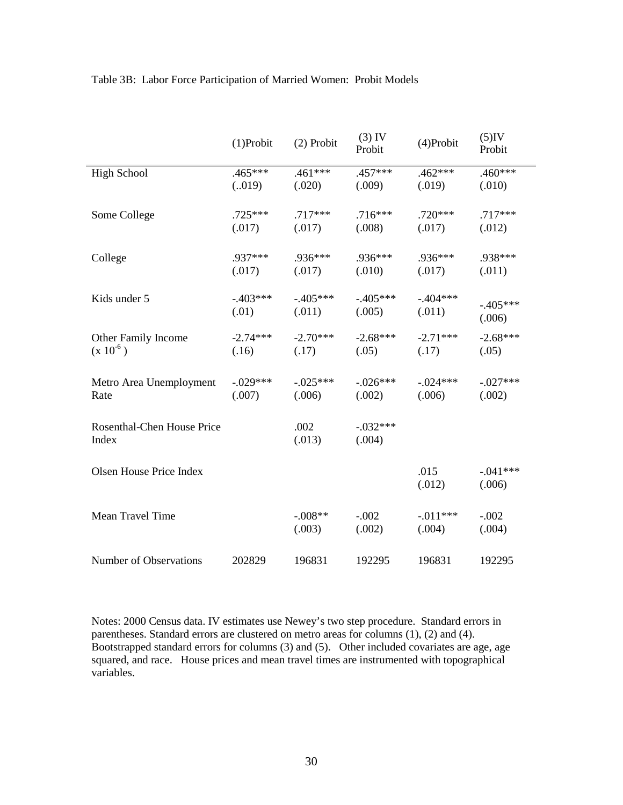|                                     | $(1)$ Probit | $(2)$ Probit        | $(3)$ IV<br>Probit   | (4)Probit             | $(5)$ IV<br>Probit   |
|-------------------------------------|--------------|---------------------|----------------------|-----------------------|----------------------|
| <b>High School</b>                  | $.465***$    | $.461***$           | $.457***$            | $.462***$             | $.460***$            |
|                                     | (.019)       | (.020)              | (.009)               | (.019)                | (.010)               |
| Some College                        | $.725***$    | $.717***$           | $.716***$            | $.720***$             | $.717***$            |
|                                     | (.017)       | (.017)              | (.008)               | (.017)                | (.012)               |
| College                             | .937***      | .936***             | .936***              | .936***               | .938***              |
|                                     | (.017)       | (.017)              | (.010)               | (.017)                | (.011)               |
| Kids under 5                        | $-.403***$   | $-.405***$          | $-.405***$           | $-404***$             | $-.405***$           |
|                                     | (.01)        | (.011)              | (.005)               | (.011)                | (.006)               |
| Other Family Income                 | $-2.74***$   | $-2.70***$          | $-2.68***$           | $-2.71***$            | $-2.68***$           |
| $(x 10^{-6})$                       | (.16)        | (.17)               | (.05)                | (.17)                 | (.05)                |
| Metro Area Unemployment             | $-.029***$   | $-.025***$          | $-.026***$           | $-0.024***$           | $-.027***$           |
| Rate                                | (.007)       | (.006)              | (.002)               | (.006)                | (.002)               |
| Rosenthal-Chen House Price<br>Index |              | .002<br>(.013)      | $-.032***$<br>(.004) |                       |                      |
| Olsen House Price Index             |              |                     |                      | .015<br>(.012)        | $-.041***$<br>(.006) |
| Mean Travel Time                    |              | $-.008**$<br>(.003) | $-.002$<br>(.002)    | $-0.011***$<br>(.004) | $-.002$<br>(.004)    |
| Number of Observations              | 202829       | 196831              | 192295               | 196831                | 192295               |

# Table 3B: Labor Force Participation of Married Women: Probit Models

Notes: 2000 Census data. IV estimates use Newey's two step procedure. Standard errors in parentheses. Standard errors are clustered on metro areas for columns  $(1)$ ,  $(2)$  and  $(4)$ . Bootstrapped standard errors for columns  $(3)$  and  $(5)$ . Other included covariates are age, age squared, and race. House prices and mean travel times are instrumented with topographical variables.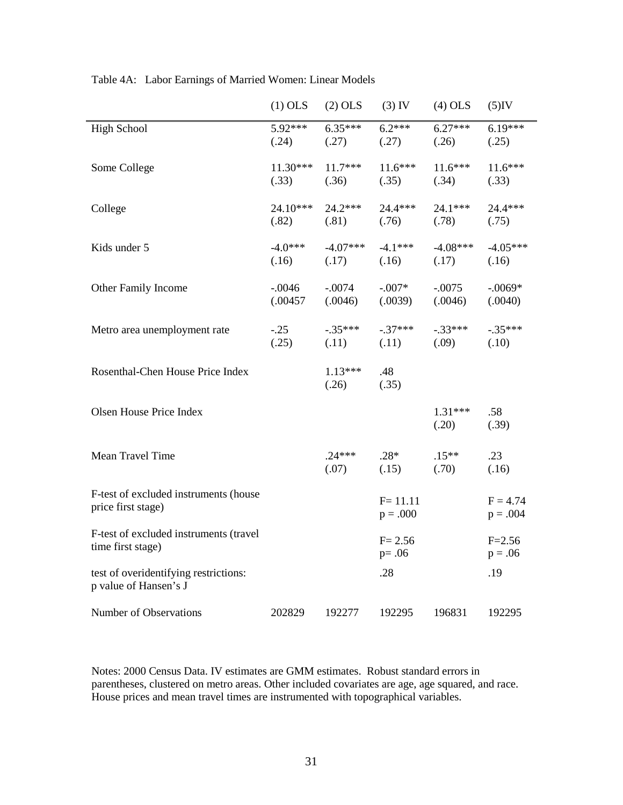|                                                                | $(1)$ OLS            | $(2)$ OLS           | $(3)$ IV                  | $(4)$ OLS           | $(5)$ IV                 |
|----------------------------------------------------------------|----------------------|---------------------|---------------------------|---------------------|--------------------------|
| <b>High School</b>                                             | 5.92***<br>(.24)     | $6.35***$<br>(.27)  | $6.2***$<br>(.27)         | $6.27***$<br>(.26)  | $6.19***$<br>(.25)       |
| Some College                                                   | 11.30***<br>(.33)    | $11.7***$<br>(.36)  | $11.6***$<br>(.35)        | $11.6***$<br>(.34)  | $11.6***$<br>(.33)       |
| College                                                        | 24.10***<br>(.82)    | $24.2***$<br>(.81)  | 24.4***<br>(.76)          | $24.1***$<br>(.78)  | 24.4***<br>(.75)         |
| Kids under 5                                                   | $-4.0***$<br>(.16)   | $-4.07***$<br>(.17) | $-4.1***$<br>(.16)        | $-4.08***$<br>(.17) | $-4.05***$<br>(.16)      |
| Other Family Income                                            | $-.0046$<br>(.00457) | $-.0074$<br>(.0046) | $-.007*$<br>(.0039)       | $-.0075$<br>(.0046) | $-.0069*$<br>(.0040)     |
| Metro area unemployment rate                                   | $-.25$<br>(.25)      | $-.35***$<br>(.11)  | $-.37***$<br>(.11)        | $-33***$<br>(.09)   | $-.35***$<br>(.10)       |
| Rosenthal-Chen House Price Index                               |                      | $1.13***$<br>(.26)  | .48<br>(.35)              |                     |                          |
| Olsen House Price Index                                        |                      |                     |                           | $1.31***$<br>(.20)  | .58<br>(.39)             |
| Mean Travel Time                                               |                      | $.24***$<br>(.07)   | $.28*$<br>(.15)           | $.15***$<br>(.70)   | .23<br>(.16)             |
| F-test of excluded instruments (house<br>price first stage)    |                      |                     | $F = 11.11$<br>$p = .000$ |                     | $F = 4.74$<br>$p = .004$ |
| F-test of excluded instruments (travel<br>time first stage)    |                      |                     | $F = 2.56$<br>$p = .06$   |                     | $F = 2.56$<br>$p = .06$  |
| test of overidentifying restrictions:<br>p value of Hansen's J |                      |                     | .28                       |                     | .19                      |
| Number of Observations                                         | 202829               | 192277              | 192295                    | 196831              | 192295                   |

Table 4A: Labor Earnings of Married Women: Linear Models

Notes: 2000 Census Data. IV estimates are GMM estimates. Robust standard errors in parentheses, clustered on metro areas. Other included covariates are age, age squared, and race. House prices and mean travel times are instrumented with topographical variables.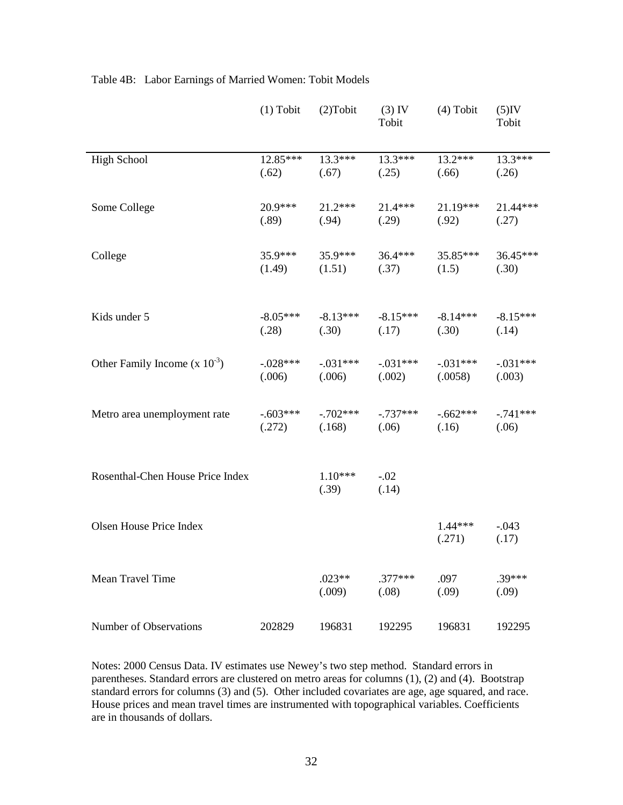|                                   | $(1)$ Tobit | $(2)$ Tobit        | $(3)$ IV<br>Tobit  | $(4)$ Tobit         | $(5)$ IV<br>Tobit |
|-----------------------------------|-------------|--------------------|--------------------|---------------------|-------------------|
| <b>High School</b>                | $12.85***$  | $13.3***$          | $13.3***$          | $13.2***$           | $13.3***$         |
|                                   | (.62)       | (.67)              | (.25)              | (.66)               | (.26)             |
| Some College                      | $20.9***$   | $21.2***$          | $21.4***$          | $21.19***$          | 21.44***          |
|                                   | (.89)       | (.94)              | (.29)              | (.92)               | (.27)             |
| College                           | $35.9***$   | $35.9***$          | $36.4***$          | 35.85***            | 36.45***          |
|                                   | (1.49)      | (1.51)             | (.37)              | (1.5)               | (.30)             |
| Kids under 5                      | $-8.05***$  | $-8.13***$         | $-8.15***$         | $-8.14***$          | $-8.15***$        |
|                                   | (.28)       | (.30)              | (.17)              | (.30)               | (.14)             |
| Other Family Income $(x 10^{-3})$ | $-.028***$  | $-.031***$         | $-0.031***$        | $-.031***$          | $-.031***$        |
|                                   | (.006)      | (.006)             | (.002)             | (.0058)             | (.003)            |
| Metro area unemployment rate      | $-.603***$  | $-.702***$         | $-.737***$         | $-.662***$          | $-.741***$        |
|                                   | (.272)      | (.168)             | (.06)              | (.16)               | (.06)             |
| Rosenthal-Chen House Price Index  |             | $1.10***$<br>(.39) | $-.02$<br>(.14)    |                     |                   |
| Olsen House Price Index           |             |                    |                    | $1.44***$<br>(.271) | $-.043$<br>(.17)  |
| Mean Travel Time                  |             | $.023**$<br>(.009) | $.377***$<br>(.08) | .097<br>(.09)       | $.39***$<br>(.09) |
| Number of Observations            | 202829      | 196831             | 192295             | 196831              | 192295            |

# Table 4B: Labor Earnings of Married Women: Tobit Models

Notes: 2000 Census Data. IV estimates use Newey's two step method. Standard errors in parentheses. Standard errors are clustered on metro areas for columns (1), (2) and (4). Bootstrap standard errors for columns (3) and (5). Other included covariates are age, age squared, and race. House prices and mean travel times are instrumented with topographical variables. Coefficients are in thousands of dollars.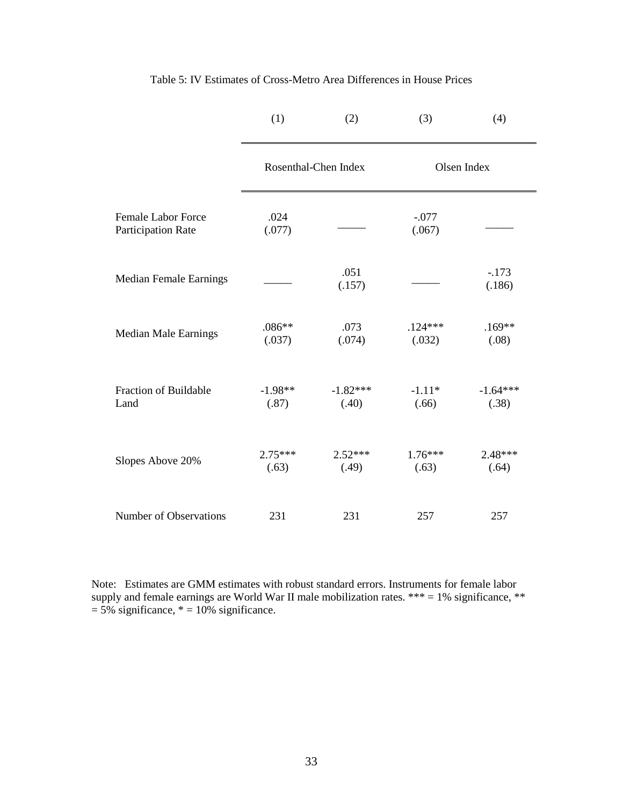|                                                 | (1)                  | (2)                 | (3)                 | (4)                 |
|-------------------------------------------------|----------------------|---------------------|---------------------|---------------------|
|                                                 | Rosenthal-Chen Index |                     |                     | Olsen Index         |
| <b>Female Labor Force</b><br>Participation Rate | .024<br>(.077)       |                     | $-.077$<br>(.067)   |                     |
| <b>Median Female Earnings</b>                   |                      | .051<br>(.157)      |                     | $-.173$<br>(.186)   |
| <b>Median Male Earnings</b>                     | $.086**$<br>(.037)   | .073<br>(.074)      | $.124***$<br>(.032) | $.169**$<br>(.08)   |
| <b>Fraction of Buildable</b><br>Land            | $-1.98**$<br>(.87)   | $-1.82***$<br>(.40) | $-1.11*$<br>(.66)   | $-1.64***$<br>(.38) |
| Slopes Above 20%                                | $2.75***$<br>(.63)   | $2.52***$<br>(.49)  | $1.76***$<br>(.63)  | 2.48***<br>(.64)    |
| Number of Observations                          | 231                  | 231                 | 257                 | 257                 |

Table 5: IV Estimates of Cross-Metro Area Differences in House Prices

Note: Estimates are GMM estimates with robust standard errors. Instruments for female labor supply and female earnings are World War II male mobilization rates. \*\*\* = 1% significance, \*\*  $= 5\%$  significance,  $* = 10\%$  significance.